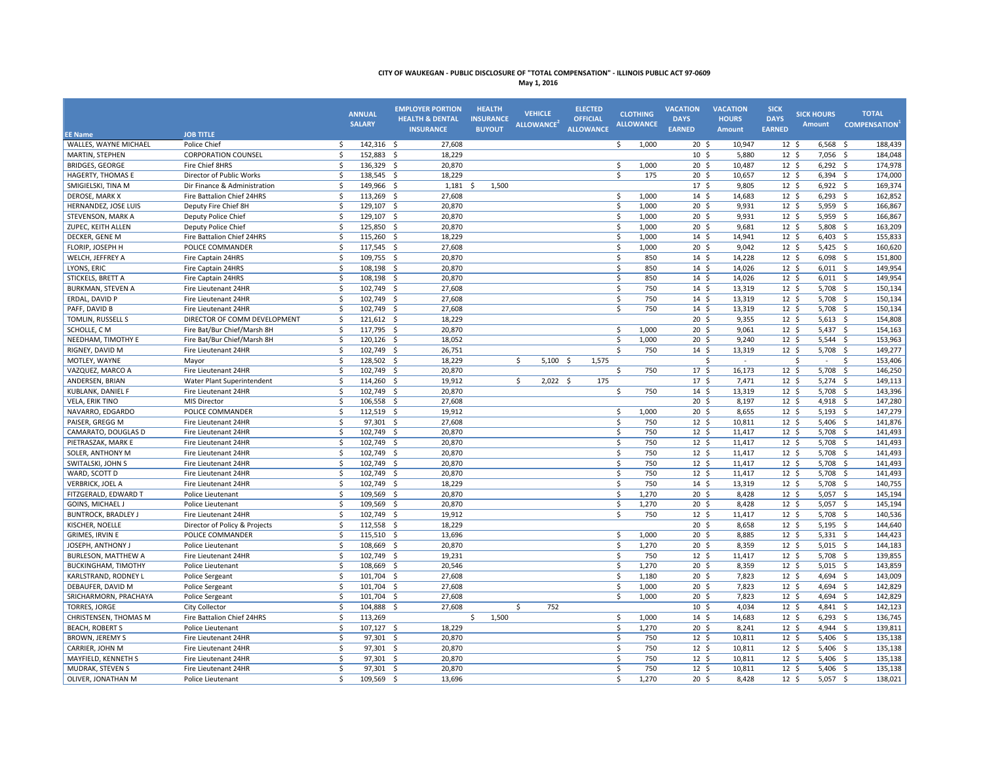| May 1, 20 |  |  |
|-----------|--|--|
|-----------|--|--|

| <b>EE Name</b>              | <b>JOB TITLE</b>              |                    | <b>ANNUAL</b><br><b>SALARY</b> | <b>EMPLOYER PORTION</b><br><b>HEALTH &amp; DENTAL</b><br><b>INSURANCE</b> | <b>HEALTH</b><br><b>INSURANCE</b><br><b>BUYOUT</b> | <b>VEHICLE</b><br>ALLOWANCE <sup>2</sup> |            | <b>ELECTED</b><br><b>OFFICIAL</b><br><b>ALLOWANCE</b> | <b>CLOTHING</b><br><b>ALLOWANCE</b> | <b>VACATION</b><br><b>DAYS</b><br><b>EARNED</b> | <b>VACATION</b><br><b>HOURS</b><br><b>Amount</b> | <b>SICK</b><br><b>DAYS</b><br><b>EARNED</b> | <b>SICK HOURS</b><br>Amount | <b>TOTAL</b><br><b>COMPENSATION</b> |
|-----------------------------|-------------------------------|--------------------|--------------------------------|---------------------------------------------------------------------------|----------------------------------------------------|------------------------------------------|------------|-------------------------------------------------------|-------------------------------------|-------------------------------------------------|--------------------------------------------------|---------------------------------------------|-----------------------------|-------------------------------------|
| WALLES, WAYNE MICHAEL       | Police Chief                  | \$                 | 142,316 \$                     | 27,608                                                                    |                                                    |                                          |            |                                                       | 1,000<br>\$                         | 20 <sup>5</sup>                                 | 10,947                                           | 12 <sup>5</sup>                             | 6,568                       | 188,439<br>- \$                     |
| MARTIN, STEPHEN             | <b>CORPORATION COUNSEL</b>    | \$                 | 152,883 \$                     | 18,229                                                                    |                                                    |                                          |            |                                                       |                                     | 10 <sup>5</sup>                                 | 5,880                                            | 12 <sup>5</sup>                             | $7,056$ \$                  | 184,048                             |
| <b>BRIDGES, GEORGE</b>      | Fire Chief 8HRS               | \$                 | 136,329 \$                     | 20,870                                                                    |                                                    |                                          |            |                                                       | \$<br>1,000                         | 20 <sup>5</sup>                                 | 10,487                                           | 12 <sup>5</sup>                             | $6,292$ \$                  | 174,978                             |
| HAGERTY, THOMAS E           | Director of Public Works      | \$                 | 138,545 \$                     | 18,229                                                                    |                                                    |                                          |            |                                                       | \$<br>175                           | $20 \frac{2}{3}$                                | 10,657                                           | 12 <sup>5</sup>                             | $6,394$ \$                  | 174,000                             |
| SMIGIELSKI, TINA M          | Dir Finance & Administration  | \$                 | 149,966 \$                     | 1,181                                                                     | 1,500<br>Ŝ.                                        |                                          |            |                                                       |                                     | 17 <sup>5</sup>                                 | 9,805                                            | 12 <sup>5</sup>                             | $6,922$ \$                  | 169,374                             |
| DEROSE, MARK X              | Fire Battalion Chief 24HRS    | $\dot{\mathsf{S}}$ | 113,269                        | \$<br>27,608                                                              |                                                    |                                          |            |                                                       | \$<br>1,000                         | $14 \text{ }$                                   | 14,683                                           | $12 \quad$                                  | 6,293                       | 162,852<br>- \$                     |
| HERNANDEZ, JOSE LUIS        | Deputy Fire Chief 8H          | \$                 | 129,107 \$                     | 20,870                                                                    |                                                    |                                          |            |                                                       | 1,000<br>Ŝ.                         | $20 \,$ \$                                      | 9,931                                            | 12 <sup>5</sup>                             | 5,959                       | \$<br>166,867                       |
| STEVENSON, MARK A           | Deputy Police Chief           | \$                 | 129,107 \$                     | 20,870                                                                    |                                                    |                                          |            |                                                       | 1,000<br>\$                         | 20 <sup>5</sup>                                 | 9,931                                            | 12 <sup>5</sup>                             | $5,959$ \$                  | 166,867                             |
| ZUPEC, KEITH ALLEN          | Deputy Police Chief           | Ś                  | 125,850 \$                     | 20,870                                                                    |                                                    |                                          |            |                                                       | \$<br>1,000                         | 20 <sup>5</sup>                                 | 9,681                                            | $12 \quad$                                  | 5,808                       | 163,209<br>- \$                     |
| DECKER, GENE M              | Fire Battalion Chief 24HRS    | \$                 | 115,260 \$                     | 18,229                                                                    |                                                    |                                          |            |                                                       | \$<br>1,000                         | $14 \,$ \$                                      | 14,941                                           | 12 <sup>5</sup>                             | $6,403$ \$                  | 155,833                             |
| FLORIP, JOSEPH H            | POLICE COMMANDER              | \$                 | 117,545 \$                     | 27,608                                                                    |                                                    |                                          |            |                                                       | Ŝ.<br>1.000                         | 20 <sup>5</sup>                                 | 9.042                                            | 12 <sup>5</sup>                             | $5,425$ \$                  | 160,620                             |
| WELCH, JEFFREY A            | Fire Captain 24HRS            | Ŝ.                 | 109,755 \$                     | 20,870                                                                    |                                                    |                                          |            |                                                       | Ŝ.<br>850                           | $14 \text{ } 5$                                 | 14,228                                           | 12 <sup>5</sup>                             | $6,098$ \$                  | 151,800                             |
| LYONS, ERIC                 | Fire Captain 24HRS            | \$                 | 108,198 \$                     | 20,870                                                                    |                                                    |                                          |            |                                                       | \$<br>850                           | $14 \text{ } 5$                                 | 14,026                                           | 12 <sup>5</sup>                             | 6,011                       | \$<br>149,954                       |
| STICKELS, BRETT A           | Fire Captain 24HRS            | \$                 | 108,198 \$                     | 20,870                                                                    |                                                    |                                          |            |                                                       | \$<br>850                           | $14 \text{ }$                                   | 14,026                                           | 12 <sup>5</sup>                             | $6,011$ \$                  | 149,954                             |
| <b>BURKMAN, STEVEN A</b>    | Fire Lieutenant 24HR          | \$                 | 102,749 \$                     | 27,608                                                                    |                                                    |                                          |            |                                                       | \$<br>750                           | $14 \; \text{S}$                                | 13,319                                           | $12 \; \text{S}$                            | $5,708$ \$                  | 150,134                             |
| ERDAL, DAVID P              | Fire Lieutenant 24HR          | \$                 | 102,749 \$                     | 27,608                                                                    |                                                    |                                          |            |                                                       | \$<br>750                           | $14 \; \text{S}$                                | 13,319                                           | $12 \; \text{S}$                            | $5,708$ \$                  | 150,134                             |
| PAFF, DAVID B               | Fire Lieutenant 24HR          | \$                 | 102,749                        | 27,608<br>-\$                                                             |                                                    |                                          |            |                                                       | \$<br>750                           | $14 \text{ }$                                   | 13,319                                           | 12 <sup>5</sup>                             | 5,708                       | 150,134<br>- \$                     |
| TOMLIN, RUSSELL S           | DIRECTOR OF COMM DEVELOPMENT  | \$                 | 121,612 \$                     | 18,229                                                                    |                                                    |                                          |            |                                                       |                                     | $20 \,$ \$                                      | 9,355                                            | 12 <sup>5</sup>                             | $5,613$ \$                  | 154,808                             |
| SCHOLLE, CM                 | Fire Bat/Bur Chief/Marsh 8H   | \$                 | 117,795 \$                     | 20,870                                                                    |                                                    |                                          |            |                                                       | \$<br>1,000                         | 20 <sup>5</sup>                                 | 9,061                                            | 12 <sup>5</sup>                             | $5,437$ \$                  | 154,163                             |
| NEEDHAM, TIMOTHY E          | Fire Bat/Bur Chief/Marsh 8H   | \$                 | 120,126 \$                     | 18,052                                                                    |                                                    |                                          |            |                                                       | \$<br>1,000                         | 20 <sup>5</sup>                                 | 9,240                                            | 12 <sup>5</sup>                             | 5,544                       | 153,963<br>\$                       |
| RIGNEY, DAVID M             | Fire Lieutenant 24HR          | \$                 | 102,749 \$                     | 26,751                                                                    |                                                    |                                          |            |                                                       | \$<br>750                           | $14 \;$ \$                                      | 13,319                                           | 12 <sup>5</sup>                             | $5,708$ \$                  | 149,277                             |
| MOTLEY, WAYNE               | Mayor                         | $\dot{\mathsf{S}}$ | 128,502                        | -\$<br>18,229                                                             |                                                    | \$                                       | $5,100$ \$ | 1,575                                                 |                                     | \$                                              | ÷,                                               |                                             | \$<br>$\sim$                | 153,406<br>\$                       |
| VAZQUEZ, MARCO A            | Fire Lieutenant 24HR          | \$                 | 102,749 \$                     | 20,870                                                                    |                                                    |                                          |            |                                                       | Ŝ.<br>750                           | 17 <sup>5</sup>                                 | 16,173                                           | 12 <sup>5</sup>                             | 5,708                       | \$<br>146,250                       |
| ANDERSEN, BRIAN             | Water Plant Superintendent    | \$                 | 114,260 \$                     | 19,912                                                                    |                                                    | \$                                       | $2,022$ \$ | 175                                                   |                                     | 17 <sub>5</sub>                                 | 7,471                                            | 12 <sup>5</sup>                             | $5,274$ \$                  | 149,113                             |
| KUBLANK, DANIEL F           | Fire Lieutenant 24HR          | $\mathsf{\hat{S}}$ | 102,749                        | 20,870<br>- \$                                                            |                                                    |                                          |            |                                                       | Ś.<br>750                           | $14 \text{ }$                                   | 13,319                                           | 12 <sup>5</sup>                             | 5,708                       | 143,396<br>- \$                     |
| <b>VELA, ERIK TINO</b>      | <b>MIS Director</b>           | Ŝ.                 | 106,558 \$                     | 27,608                                                                    |                                                    |                                          |            |                                                       |                                     | 20 <sub>5</sub>                                 | 8.197                                            | 12 <sup>5</sup>                             | $4.918 \quad$ \$            | 147,280                             |
| NAVARRO, EDGARDO            | POLICE COMMANDER              | \$                 | 112,519 \$                     | 19,912                                                                    |                                                    |                                          |            |                                                       | \$<br>1.000                         | 20 <sup>5</sup>                                 | 8,655                                            | 12 <sup>5</sup>                             | $5,193$ \$                  | 147,279                             |
| PAISER, GREGG M             | Fire Lieutenant 24HR          | Ŝ.                 | 97,301 \$                      | 27,608                                                                    |                                                    |                                          |            |                                                       | \$<br>750                           | $12 \frac{2}{7}$                                | 10,811                                           | $12 \; \text{S}$                            | $5,406$ \$                  | 141,876                             |
| CAMARATO, DOUGLAS D         | Fire Lieutenant 24HR          | \$                 | 102,749 \$                     | 20,870                                                                    |                                                    |                                          |            |                                                       | \$<br>750                           | $12 \frac{2}{7}$                                | 11,417                                           | $12 \; \text{S}$                            | $5,708$ \$                  | 141,493                             |
| PIETRASZAK, MARK E          | Fire Lieutenant 24HR          | \$                 | 102,749                        | 20,870<br>- \$                                                            |                                                    |                                          |            |                                                       | \$<br>750                           | 12 <sup>5</sup>                                 | 11,417                                           | 12 <sup>5</sup>                             | 5,708                       | 141,493<br>- \$                     |
| SOLER, ANTHONY M            | Fire Lieutenant 24HR          | \$                 | 102,749 \$                     | 20,870                                                                    |                                                    |                                          |            |                                                       | \$<br>750                           | $12 \; \text{S}$                                | 11,417                                           | 12 <sup>5</sup>                             | $5,708$ \$                  | 141,493                             |
| SWITALSKI, JOHN S           | Fire Lieutenant 24HR          | \$                 | 102,749 \$                     | 20,870                                                                    |                                                    |                                          |            |                                                       | \$<br>750                           | 12 <sup>5</sup>                                 | 11,417                                           | 12 <sup>5</sup>                             | $5,708$ \$                  | 141,493                             |
| WARD, SCOTT D               | Fire Lieutenant 24HR          | <sup>\$</sup>      | 102,749                        | 20,870<br>- \$                                                            |                                                    |                                          |            |                                                       | Ś<br>750                            | 12 <sup>5</sup>                                 | 11,417                                           | 12 <sup>5</sup>                             | 5,708                       | 141,493<br>- \$                     |
| <b>VERBRICK, JOEL A</b>     | Fire Lieutenant 24HR          | \$                 | 102,749                        | -\$<br>18,229                                                             |                                                    |                                          |            |                                                       | 750<br>\$                           | $14 \text{ } 5$                                 | 13,319                                           | 12 <sup>5</sup>                             | 5,708                       | 140,755<br>- \$                     |
| FITZGERALD, EDWARD T        | Police Lieutenant             | \$                 | 109,569                        | -\$<br>20,870                                                             |                                                    |                                          |            |                                                       | \$<br>1,270                         | 20 <sup>5</sup>                                 | 8,428                                            | 12 <sup>5</sup>                             | $5,057$ \$                  | 145,194                             |
| <b>GOINS, MICHAEL J</b>     | Police Lieutenant             | \$                 | 109,569                        | - \$<br>20,870                                                            |                                                    |                                          |            |                                                       | \$<br>1,270                         | 20 <sup>5</sup>                                 | 8,428                                            | 12 <sup>5</sup>                             | 5,057                       | 145,194<br>\$                       |
| <b>BUNTROCK, BRADLEY J</b>  | Fire Lieutenant 24HR          | \$                 | 102,749 \$                     | 19,912                                                                    |                                                    |                                          |            |                                                       | Ŝ.<br>750                           | $12 \cdot 5$                                    | 11,417                                           | 12 <sup>5</sup>                             | $5,708$ \$                  | 140,536                             |
| KISCHER, NOELLE             | Director of Policy & Projects | $\dot{\mathsf{S}}$ | 112,558 \$                     | 18,229                                                                    |                                                    |                                          |            |                                                       |                                     | $20 \frac{2}{3}$                                | 8,658                                            | 12 <sup>5</sup>                             | $5,195$ \$                  | 144,640                             |
| GRIMES, IRVIN E             | POLICE COMMANDER              | -\$                | 115,510 \$                     | 13,696                                                                    |                                                    |                                          |            |                                                       | \$<br>1,000                         | 20 <sup>5</sup>                                 | 8,885                                            | 12 <sup>5</sup>                             | $5,331$ \$                  | 144,423                             |
| JOSEPH, ANTHONY J           | Police Lieutenant             | \$                 | 108,669 \$                     | 20,870                                                                    |                                                    |                                          |            |                                                       | \$<br>1,270                         | 20 <sup>5</sup>                                 | 8,359                                            | 12 <sup>5</sup>                             | $5,015$ \$                  | 144,183                             |
| <b>BURLESON, MATTHEW A</b>  | Fire Lieutenant 24HR          | \$                 | 102,749                        | - \$<br>19,231                                                            |                                                    |                                          |            |                                                       | Ŝ.<br>750                           | 12 <sup>5</sup>                                 | 11,417                                           | 12 <sup>5</sup>                             | 5,708                       | 139,855<br>- \$                     |
| <b>BUCKINGHAM, TIMOTHY</b>  | Police Lieutenant             | \$                 | 108,669 \$                     | 20,546                                                                    |                                                    |                                          |            |                                                       | Ŝ.<br>1,270                         | 20 <sub>5</sub>                                 | 8,359                                            | 12 <sup>5</sup>                             | $5,015$ \$                  | 143,859                             |
| <b>KARLSTRAND, RODNEY L</b> | Police Sergeant               | \$                 | 101,704 \$                     | 27,608                                                                    |                                                    |                                          |            |                                                       | \$<br>1,180                         | $20 \frac{2}{3}$                                | 7,823                                            | 12 <sup>5</sup>                             | 4,694 \$                    | 143,009                             |
| DEBAUFER, DAVID M           | Police Sergeant               | \$                 | 101,704 \$                     | 27,608                                                                    |                                                    |                                          |            |                                                       | \$<br>1,000                         | $20 \frac{2}{3}$                                | 7,823                                            | $12 \; \text{S}$                            | 4,694                       | \$<br>142,829                       |
| SRICHARMORN, PRACHAYA       | Police Sergeant               | \$                 | 101,704 \$                     | 27,608                                                                    |                                                    |                                          |            |                                                       | \$<br>1,000                         | 20 <sup>5</sup>                                 | 7,823                                            | 12 <sup>5</sup>                             | 4,694 \$                    | 142,829                             |
| <b>TORRES, JORGE</b>        | City Collector                | \$                 | 104,888                        | - \$<br>27,608                                                            |                                                    | Ś                                        | 752        |                                                       |                                     | 10 <sup>5</sup>                                 | 4,034                                            | 12 <sup>5</sup>                             | 4,841                       | 142,123<br>- \$                     |
| CHRISTENSEN, THOMAS M       | Fire Battalion Chief 24HRS    | \$                 | 113,269                        |                                                                           | 1,500<br>\$                                        |                                          |            |                                                       | \$<br>1,000                         | $14 \text{ } 5$                                 | 14,683                                           | 12 <sup>5</sup>                             | $6,293$ \$                  | 136,745                             |
| <b>BEACH, ROBERT S</b>      | Police Lieutenant             | \$                 | 107,127 \$                     | 18,229                                                                    |                                                    |                                          |            |                                                       | \$<br>1,270                         | $20 \,$ \$                                      | 8,241                                            | 12 <sup>5</sup>                             | 4,944 \$                    | 139,811                             |
| <b>BROWN, JEREMY S</b>      | Fire Lieutenant 24HR          | \$                 | 97,301 \$                      | 20,870                                                                    |                                                    |                                          |            |                                                       | Ś<br>750                            | 12 <sup>5</sup>                                 | 10,811                                           | 12 <sup>5</sup>                             | 5,406                       | 135,138<br>- \$                     |
| CARRIER, JOHN M             | Fire Lieutenant 24HR          | \$                 | 97,301 \$                      | 20,870                                                                    |                                                    |                                          |            |                                                       | 750<br>\$                           | 12 <sup>5</sup>                                 | 10,811                                           | 12 <sup>5</sup>                             | $5,406$ \$                  | 135,138                             |
| MAYFIELD, KENNETH S         | Fire Lieutenant 24HR          | \$                 | 97,301 \$                      | 20,870                                                                    |                                                    |                                          |            |                                                       | \$<br>750                           | $12 \quad$                                      | 10,811                                           | 12 <sup>5</sup>                             | $5,406$ \$                  | 135,138                             |
| <b>MUDRAK, STEVEN S</b>     | Fire Lieutenant 24HR          | \$                 | 97,301 \$                      | 20,870                                                                    |                                                    |                                          |            |                                                       | $\mathsf{\hat{S}}$<br>750           | 12 <sup>5</sup>                                 | 10,811                                           | $12 \quad$                                  | 5,406                       | 135,138<br>$\mathsf{S}$             |
| OLIVER, JONATHAN M          | Police Lieutenant             | \$                 | 109,569                        | 13,696<br>- Ś                                                             |                                                    |                                          |            |                                                       | Ŝ.<br>1.270                         | 20 <sub>5</sub>                                 | 8.428                                            | 12 <sup>5</sup>                             | 5,057                       | 138,021<br>- \$                     |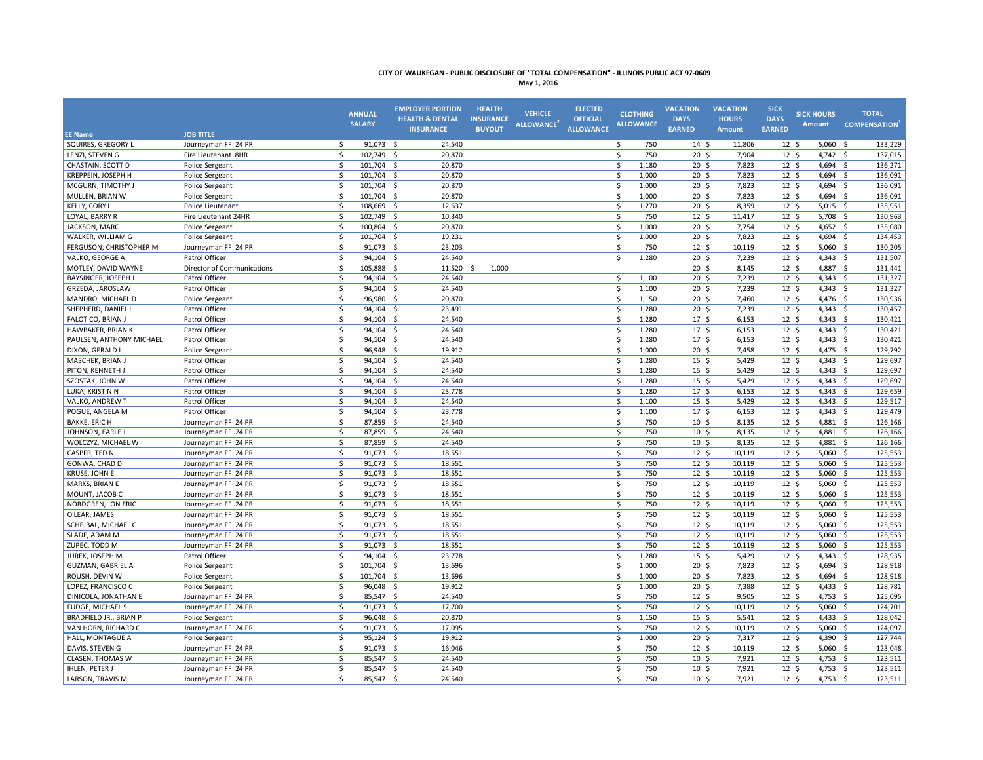| May 1, 20 |  |  |
|-----------|--|--|
|-----------|--|--|

|                                              |                            | <b>ANNUAL</b><br><b>SALARY</b>      | <b>EMPLOYER PORTION</b><br><b>HEALTH &amp; DENTAL</b><br><b>INSURANCE</b> | <b>HEALTH</b><br><b>INSURANCE</b><br><b>BUYOUT</b> | <b>VEHICLE</b><br>ALLOWANCE <sup>2</sup> | <b>ELECTED</b><br><b>OFFICIAL</b><br><b>ALLOWANCE</b> | <b>CLOTHING</b><br><b>ALLOWANCE</b> | <b>VACATION</b><br><b>DAYS</b><br><b>EARNED</b> | <b>VACATION</b><br><b>HOURS</b><br><b>Amount</b> | <b>SICK</b><br><b>DAYS</b><br><b>EARNED</b> | <b>SICK HOURS</b><br><b>Amount</b> | <b>TOTAL</b><br><b>COMPENSATION</b> |
|----------------------------------------------|----------------------------|-------------------------------------|---------------------------------------------------------------------------|----------------------------------------------------|------------------------------------------|-------------------------------------------------------|-------------------------------------|-------------------------------------------------|--------------------------------------------------|---------------------------------------------|------------------------------------|-------------------------------------|
| <b>EE Name</b>                               | <b>JOB TITLE</b>           |                                     |                                                                           |                                                    |                                          |                                                       | 750                                 |                                                 | 11.806                                           |                                             |                                    |                                     |
| <b>SQUIRES, GREGORY L</b><br>LENZI, STEVEN G | Journeyman FF 24 PR        | \$<br>91,073 \$<br>\$<br>102,749 \$ | 24,540<br>20,870                                                          |                                                    |                                          |                                                       | $\ddot{\xi}$<br>\$<br>750           | $14 \,$ \$<br>20 <sup>5</sup>                   |                                                  | 12 <sup>5</sup><br>12 <sup>5</sup>          | 5,060<br>4,742 \$                  | 133,229<br>- \$<br>137,015          |
| CHASTAIN, SCOTT D                            | Fire Lieutenant 8HR        | $\zeta$                             |                                                                           |                                                    |                                          |                                                       | Ś.<br>1.180                         |                                                 | 7,904<br>7.823                                   | 12 <sup>5</sup>                             |                                    |                                     |
|                                              | Police Sergeant            | 101,704 \$                          | 20,870                                                                    |                                                    |                                          |                                                       |                                     | $20 \frac{2}{3}$                                |                                                  | 12 <sup>5</sup>                             | 4,694 \$                           | 136,271                             |
| KREPPEIN, JOSEPH H                           | Police Sergeant            | \$<br>101,704 \$                    | 20,870                                                                    |                                                    |                                          |                                                       | 1,000<br>\$                         | $20 \; \text{S}$                                | 7,823                                            |                                             | 4,694 \$                           | 136,091                             |
| MCGURN, TIMOTHY J                            | Police Sergeant            | $\ddot{\mathsf{S}}$<br>101,704 \$   | 20,870                                                                    |                                                    |                                          |                                                       | \$<br>1,000                         | $20 \frac{2}{3}$                                | 7,823                                            | $12 \; \text{S}$                            | 4,694 \$                           | 136,091                             |
| MULLEN, BRIAN W                              | Police Sergeant            | $\zeta$<br>101,704 \$               | 20,870                                                                    |                                                    |                                          |                                                       | \$<br>1,000                         | $20 \frac{2}{3}$                                | 7,823                                            | $12 \; \text{S}$                            | 4,694 \$                           | 136,091                             |
| KELLY, CORY L                                | Police Lieutenant          | $\zeta$<br>108,669 \$               | 12,637                                                                    |                                                    |                                          |                                                       | 1,270<br>\$                         | $20 \,$ \$                                      | 8,359                                            | 12 <sup>5</sup>                             | 5,015                              | 135,951<br>- \$                     |
| LOYAL, BARRY R                               | Fire Lieutenant 24HR       | $\ddot{\mathsf{S}}$<br>102,749      | $\mathsf{S}$<br>10,340                                                    |                                                    |                                          |                                                       | \$<br>750                           | $12 \quad$                                      | 11,417                                           | 12 <sup>5</sup>                             | 5,708 \$                           | 130,963                             |
| JACKSON, MARC                                | Police Sergeant            | 100,804 \$<br>$\ddot{\mathsf{S}}$   | 20,870                                                                    |                                                    |                                          |                                                       | 1,000<br>\$                         | $20 \frac{2}{3}$                                | 7,754                                            | $12 \; \text{S}$                            | 4,652 \$                           | 135,080                             |
| WALKER, WILLIAM G                            | Police Sergeant            | $\zeta$<br>101,704 \$               | 19,231                                                                    |                                                    |                                          |                                                       | \$<br>1,000                         | $20 \,$ \$                                      | 7,823                                            | 12 <sup>5</sup>                             | 4,694 \$                           | 134,453                             |
| FERGUSON, CHRISTOPHER M                      | Journeyman FF 24 PR        | $\zeta$<br>91,073 \$                | 23,203                                                                    |                                                    |                                          |                                                       | 750<br>\$                           | 12 <sup>5</sup>                                 | 10,119                                           | 12 <sup>5</sup>                             | 5,060                              | 130,205<br>- \$                     |
| VALKO, GEORGE A                              | Patrol Officer             | \$<br>94,104 \$                     | 24,540                                                                    |                                                    |                                          |                                                       | Ś.<br>1,280                         | $20 \,$ \$                                      | 7,239                                            | 12 <sup>5</sup>                             | 4,343 \$                           | 131,507                             |
| MOTLEY, DAVID WAYNE                          | Director of Communications | \$<br>105,888 \$                    | 11,520                                                                    | 1,000<br>- Ś                                       |                                          |                                                       |                                     | $20 \,$ \$                                      | 8,145                                            | 12 <sup>5</sup>                             | 4,887 \$                           | 131,441                             |
| BAYSINGER, JOSEPH.                           | Patrol Officer             | \$<br>94,104                        | $\mathsf{S}$<br>24,540                                                    |                                                    |                                          |                                                       | \$<br>1,100                         | 20 <sup>5</sup>                                 | 7,239                                            | $12 \quad$                                  | 4,343                              | 131,327<br>- \$                     |
| GRZEDA, JAROSLAW                             | Patrol Officer             | $\zeta$<br>94,104 \$                | 24,540                                                                    |                                                    |                                          |                                                       | \$<br>1,100                         | $20 \,$ \$                                      | 7,239                                            | 12 <sup>5</sup>                             | $4,343$ \$                         | 131,327                             |
| MANDRO, MICHAEL D                            | Police Sergeant            | \$<br>96,980 \$                     | 20,870                                                                    |                                                    |                                          |                                                       | \$<br>1,150                         | $20 \frac{2}{3}$                                | 7,460                                            | 12 <sup>5</sup>                             | 4,476 \$                           | 130,936                             |
| SHEPHERD, DANIEL L                           | Patrol Officer             | \$<br>94,104 \$                     | 23,491                                                                    |                                                    |                                          |                                                       | \$<br>1,280                         | 20 <sub>5</sub>                                 | 7,239                                            | $12 \quad$                                  | 4,343                              | 130,457<br>$\mathsf{S}$             |
| FALOTICO, BRIAN J                            | Patrol Officer             | $\mathsf{\$}$<br>94,104 \$          | 24,540                                                                    |                                                    |                                          |                                                       | \$<br>1,280                         | 17 <sup>5</sup>                                 | 6,153                                            | 12 <sup>5</sup>                             | $4,343$ \$                         | 130,421                             |
| HAWBAKER, BRIAN K                            | Patrol Officer             | \$<br>94,104 \$                     | 24,540                                                                    |                                                    |                                          |                                                       | \$<br>1,280                         | 17 <sup>5</sup>                                 | 6,153                                            | 12 <sup>5</sup>                             | $4,343$ \$                         | 130,421                             |
| PAULSEN, ANTHONY MICHAEL                     | Patrol Officer             | $\zeta$<br>94,104                   | \$<br>24,540                                                              |                                                    |                                          |                                                       | 1,280<br>\$                         | 17 <sup>5</sup>                                 | 6,153                                            | 12 <sup>5</sup>                             | $4,343$ \$                         | 130,421                             |
| DIXON, GERALD L                              | Police Sergeant            | $\zeta$<br>96,948 \$                | 19,912                                                                    |                                                    |                                          |                                                       | \$<br>1,000                         | $20 \,$ \$                                      | 7,458                                            | 12 <sup>5</sup>                             | $4,475$ \$                         | 129,792                             |
| MASCHEK, BRIAN J                             | Patrol Officer             | \$<br>94,104                        | 24,540<br>-\$                                                             |                                                    |                                          |                                                       | \$<br>1,280                         | 15 <sup>5</sup>                                 | 5,429                                            | $12 \quad$                                  | 4,343                              | 129,697<br>- \$                     |
| PITON, KENNETH J                             | Patrol Officer             | $\mathsf{\$}$<br>94,104 \$          | 24,540                                                                    |                                                    |                                          |                                                       | $\mathsf{\$}$<br>1,280              | $15 \quad$                                      | 5,429                                            | 12 <sup>5</sup>                             | 4,343 \$                           | 129,697                             |
| SZOSTAK, JOHN W                              | Patrol Officer             | \$<br>94,104 \$                     | 24,540                                                                    |                                                    |                                          |                                                       | 1,280<br>\$                         | $15 \quad$                                      | 5,429                                            | 12 <sup>5</sup>                             | $4,343$ \$                         | 129,697                             |
| LUKA, KRISTIN N                              | Patrol Officer             | \$<br>94,104                        | \$<br>23,778                                                              |                                                    |                                          |                                                       | Ś.<br>1,280                         | 17 <sup>5</sup>                                 | 6,153                                            | 12 <sup>5</sup>                             | $4,343$ \$                         | 129,659                             |
| VALKO, ANDREW T                              | Patrol Officer             | \$<br>94,104 \$                     | 24,540                                                                    |                                                    |                                          |                                                       | Ś.<br>1,100                         | $15 \quad$                                      | 5,429                                            | 12 <sup>5</sup>                             | $4,343$ \$                         | 129,517                             |
| POGUE. ANGELA M                              | Patrol Officer             | \$<br>94,104 \$                     | 23,778                                                                    |                                                    |                                          |                                                       | \$<br>1,100                         | 17 <sup>5</sup>                                 | 6,153                                            | 12 <sup>5</sup>                             | 4,343 \$                           | 129,479                             |
| <b>BAKKE, ERIC H</b>                         | Journeyman FF 24 PR        | \$<br>87,859 \$                     | 24,540                                                                    |                                                    |                                          |                                                       | Ŝ.<br>750                           | 10 <sup>5</sup>                                 | 8,135                                            | 12 <sup>5</sup>                             | 4,881                              | $\mathsf{S}$<br>126,166             |
| JOHNSON, EARLE J                             | Journeyman FF 24 PR        | \$<br>87,859 \$                     | 24,540                                                                    |                                                    |                                          |                                                       | \$<br>750                           | 10 <sup>5</sup>                                 | 8,135                                            | 12 <sup>5</sup>                             | 4,881 \$                           | 126,166                             |
| WOLCZYZ, MICHAEL W                           | Journeyman FF 24 PR        | Ŝ.<br>87,859                        | 24,540<br>-\$                                                             |                                                    |                                          |                                                       | $\mathsf{s}$<br>750                 | 10 <sub>5</sub>                                 | 8.135                                            | 12 <sup>5</sup>                             | 4,881                              | 126,166<br>- Ś                      |
| CASPER, TED N                                | Journeyman FF 24 PR        | \$<br>91,073 \$                     | 18,551                                                                    |                                                    |                                          |                                                       | Ś.<br>750                           | $\overline{12}$ \$                              | 10,119                                           | 12 <sup>5</sup>                             | 5,060                              | 125,553<br>- \$                     |
| GONWA, CHAD D                                | Journeyman FF 24 PR        | \$<br>$91,073$ \$                   | 18,551                                                                    |                                                    |                                          |                                                       | \$<br>750                           | $12 \div$                                       | 10,119                                           | $12 \; \text{S}$                            | $5,060$ \$                         | 125,553                             |
| KRUSE, JOHN E                                | Journeyman FF 24 PR        | \$<br>91,073                        | $\ddot{\mathsf{S}}$<br>18,551                                             |                                                    |                                          |                                                       | $\mathsf{s}$<br>750                 | 12 <sup>5</sup>                                 | 10,119                                           | 12 <sup>5</sup>                             | 5,060                              | 125,553<br>-\$                      |
| MARKS, BRIAN E                               | Journeyman FF 24 PR        | $91,073$ \$<br>$\ddot{\mathsf{S}}$  | 18,551                                                                    |                                                    |                                          |                                                       | 750<br>$\mathsf{s}$                 | $12 \; \text{S}$                                | 10,119                                           | $12 \; \text{S}$                            | 5,060                              | 125,553<br>- \$                     |
| MOUNT, JACOB C                               | Journeyman FF 24 PR        | \$<br>91,073 \$                     | 18,551                                                                    |                                                    |                                          |                                                       | \$<br>750                           | $12 \quad$                                      | 10,119                                           | 12 <sup>5</sup>                             | $5,060$ \$                         | 125,553                             |
| NORDGREN, JON ERIC                           | Journeyman FF 24 PR        | $\ddot{\mathsf{S}}$<br>91,073 \$    | 18,551                                                                    |                                                    |                                          |                                                       | \$<br>750                           | $12 \;$ \$                                      | 10,119                                           | $12 \; \text{S}$                            | 5,060                              | 125,553<br>- \$                     |
| O'LEAR, JAMES                                | Journeyman FF 24 PR        | $\mathsf{\$}$<br>91,073 \$          | 18,551                                                                    |                                                    |                                          |                                                       | \$<br>750                           | $12 \quad$                                      | 10,119                                           | 12 <sup>5</sup>                             | 5,060                              | 125,553<br>- \$                     |
| SCHEJBAL, MICHAEL C                          | Journeyman FF 24 PR        | \$<br>91,073 \$                     | 18,551                                                                    |                                                    |                                          |                                                       | \$<br>750                           | 12 <sup>5</sup>                                 | 10,119                                           | 12 <sup>5</sup>                             | $5,060$ \$                         | 125,553                             |
| SLADE, ADAM M                                | Journeyman FF 24 PR        | $\zeta$<br>$91,073$ \$              | 18,551                                                                    |                                                    |                                          |                                                       | \$<br>750                           | $12 \quad$                                      | 10,119                                           | $12 \frac{2}{7}$                            | 5,060                              | 125,553<br>$\mathsf{S}$             |
| ZUPEC, TODD M                                | Journeyman FF 24 PR        | $\zeta$<br>91,073 \$                | 18,551                                                                    |                                                    |                                          |                                                       | \$<br>750                           | $12 \quad$                                      | 10,119                                           | 12 <sup>5</sup>                             | $5,060$ \$                         | 125,553                             |
| JUREK, JOSEPH M                              | Patrol Officer             | \$<br>94,104                        | \$<br>23,778                                                              |                                                    |                                          |                                                       | Ś<br>1,280                          | 15 <sup>5</sup>                                 | 5,429                                            | $12 \quad$                                  | $4,343$ \$                         | 128,935                             |
| <b>GUZMAN, GABRIEL A</b>                     | Police Sergeant            | $\zeta$<br>101,704 \$               | 13,696                                                                    |                                                    |                                          |                                                       | 1,000<br>\$                         | $20 \,$ \$                                      | 7,823                                            | 12 <sup>5</sup>                             | 4,694 \$                           | 128,918                             |
| ROUSH, DEVIN W                               | Police Sergeant            | 101,704 \$<br>$\ddot{\mathsf{S}}$   | 13,696                                                                    |                                                    |                                          |                                                       | \$<br>1,000                         | $20 \frac{2}{3}$                                | 7,823                                            | 12 <sup>5</sup>                             | 4,694 \$                           | 128,918                             |
| LOPEZ, FRANCISCO C                           | Police Sergeant            | $\zeta$<br>96,048 \$                | 19,912                                                                    |                                                    |                                          |                                                       | Ś<br>1,000                          | 20 <sub>5</sub>                                 | 7,388                                            | $12 \quad$                                  | 4,433                              | 128,781<br>$\mathsf{S}$             |
| DINICOLA, JONATHAN E                         | Journeyman FF 24 PR        | \$<br>85,547 \$                     | 24,540                                                                    |                                                    |                                          |                                                       | 750<br>\$                           | $12 \quad$                                      | 9,505                                            | 12 <sup>5</sup>                             | 4,753 \$                           | 125,095                             |
| <b>FUDGE, MICHAEL S</b>                      | Journeyman FF 24 PR        | $\zeta$<br>91,073 \$                | 17,700                                                                    |                                                    |                                          |                                                       | 750<br>\$                           | $12 \quad$                                      | 10,119                                           | 12 <sup>5</sup>                             | $5,060$ \$                         | 124,701                             |
| BRADFIELD JR., BRIAN P                       | Police Sergeant            | $\zeta$<br>96,048 \$                | 20,870                                                                    |                                                    |                                          |                                                       | 1,150<br>\$                         | $15 \; \xi$                                     | 5,541                                            | 12 <sup>5</sup>                             | 4,433                              | 128,042<br>$\mathsf{S}$             |
|                                              |                            | $\mathsf{S}$<br>91,073 \$           |                                                                           |                                                    |                                          |                                                       | $\mathsf{\$}$<br>750                | $12 \quad$                                      | 10,119                                           | 12 <sup>5</sup>                             | $5,060$ \$                         | 124,097                             |
| VAN HORN, RICHARD C                          | Journeyman FF 24 PR        |                                     | 17,095                                                                    |                                                    |                                          |                                                       |                                     |                                                 |                                                  |                                             |                                    |                                     |
| HALL, MONTAGUE A                             | Police Sergeant            | $\zeta$<br>$95,124$ \$              | 19,912                                                                    |                                                    |                                          |                                                       | \$<br>1,000                         | $20 \,$ \$                                      | 7,317                                            | 12 <sup>5</sup>                             | 4,390 \$                           | 127,744                             |
| DAVIS, STEVEN G                              | Journeyman FF 24 PR        | $\zeta$<br>$91,073$ \$              | 16,046                                                                    |                                                    |                                          |                                                       | \$<br>750                           | $12 \quad$                                      | 10,119                                           | 12 <sup>5</sup>                             | 5,060                              | 123,048<br>- \$                     |
| <b>CLASEN, THOMAS W</b>                      | Journeyman FF 24 PR        | \$<br>85,547 \$                     | 24,540                                                                    |                                                    |                                          |                                                       | \$<br>750                           | 10 <sup>5</sup>                                 | 7,921                                            | 12 <sup>5</sup>                             | 4,753 \$                           | 123,511                             |
| <b>IHLEN, PETER J</b>                        | Journeyman FF 24 PR        | \$<br>85,547                        | 24,540<br>-\$                                                             |                                                    |                                          |                                                       | $\mathsf{s}$<br>750                 | 10 <sup>5</sup>                                 | 7,921                                            | 12 <sup>5</sup>                             | 4,753                              | 123,511<br>- Ś                      |
| LARSON, TRAVIS M                             | Journeyman FF 24 PR        | Ŝ.<br>85.547 \$                     | 24.540                                                                    |                                                    |                                          |                                                       | 750<br>Ś.                           | 10 <sub>5</sub>                                 | 7.921                                            | 12 <sup>5</sup>                             | $4.753 \quad S$                    | 123,511                             |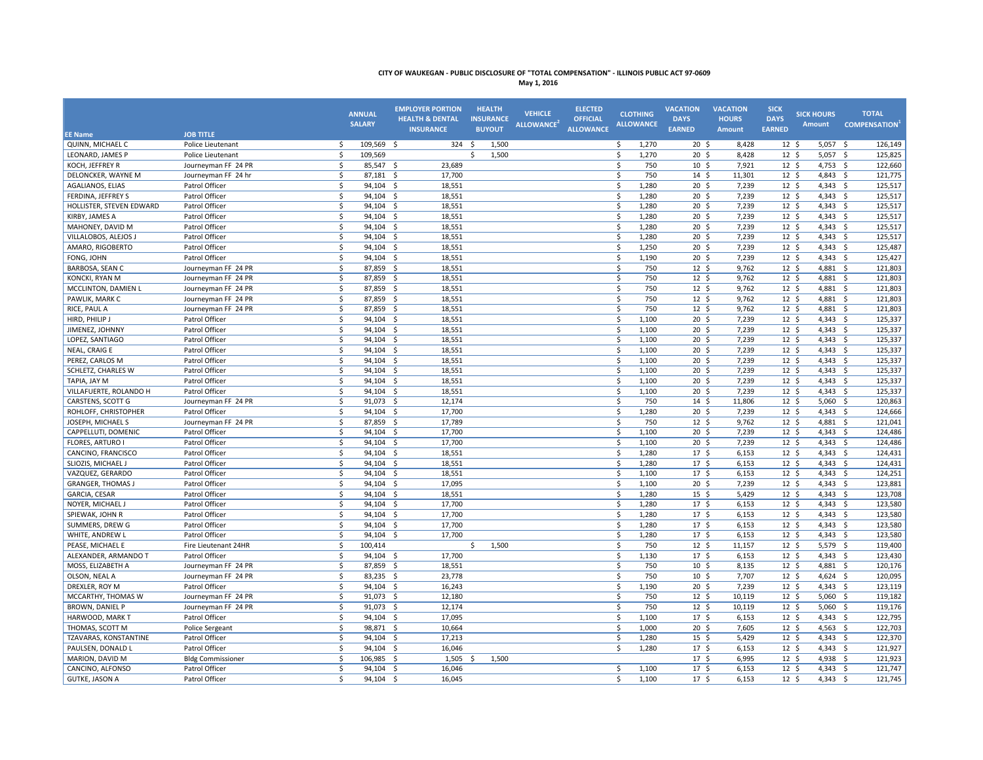| May 1, 20 |  |  |
|-----------|--|--|
|-----------|--|--|

| <b>HEALTH &amp; DENTAL</b><br><b>INSURANCE</b><br><b>OFFICIAL</b><br><b>HOURS</b><br><b>DAYS</b><br><b>DAYS</b><br><b>SALARY</b><br><b>ALLOWANCE</b><br>ALLOWANCE <sup>2</sup><br><b>BUYOUT</b><br><b>ALLOWANCE</b><br><b>EARNED</b><br><b>EARNED</b><br><b>INSURANCE</b><br><b>Amount</b><br><b>JOB TITLE</b><br><b>EE Name</b> | <b>COMPENSATION</b><br><b>Amount</b>         |
|----------------------------------------------------------------------------------------------------------------------------------------------------------------------------------------------------------------------------------------------------------------------------------------------------------------------------------|----------------------------------------------|
| QUINN, MICHAEL C<br>Ŝ.<br>109,569<br>324<br>1,270<br>8,428<br>Police Lieutenant<br>- Ś<br>- Ś<br>1,500<br>Ŝ.<br>$20 \; \text{S}$<br>12 <sup>5</sup>                                                                                                                                                                              | 5,057<br>126,149<br>- Ś                      |
| 1.500<br>20 <sub>5</sub><br>12 <sup>5</sup><br><b>LEONARD, JAMES P</b><br>Ŝ.<br>109.569<br>Ŝ.<br>1,270<br>8.428<br>Police Lieutenant<br>Š.                                                                                                                                                                                       | 5,057 \$<br>125,825                          |
| KOCH, JEFFREY R<br>Journeyman FF 24 PR<br>\$<br>85,547 \$<br>23,689<br>\$<br>750<br>$10 \frac{2}{3}$<br>7,921<br>$12 \; \text{S}$                                                                                                                                                                                                | 4,753 \$<br>122,660                          |
| DELONCKER, WAYNE M<br>Journeyman FF 24 hr<br>$\ddot{\mathsf{S}}$<br>87,181<br>-\$<br>17,700<br>\$<br>750<br>$14 \;$ \$<br>11,301<br>$12 \; \text{S}$                                                                                                                                                                             | 4,843 \$<br>121,775                          |
| $\zeta$<br>1,280<br>AGALIANOS, ELIAS<br>$94,104$ \$<br>18,551<br>\$<br>$20 \frac{2}{3}$<br>7,239<br>$12 \; \text{S}$<br>Patrol Officer                                                                                                                                                                                           | 4,343 \$<br>125,517                          |
| $\zeta$<br>Ś<br>$12 \quad$<br>94,104 \$<br>1,280<br>20 <sup>5</sup><br>7,239<br>FERDINA, JEFFREY S<br>Patrol Officer<br>18,551                                                                                                                                                                                                   | 4,343 \$<br>125,517                          |
| $\zeta$<br>HOLLISTER, STEVEN EDWARD<br>Patrol Officer<br>$94,104$ \$<br>18,551<br>\$<br>1,280<br>20 <sup>5</sup><br>7,239<br>12 <sup>5</sup>                                                                                                                                                                                     | 125,517<br>4,343 \$                          |
| KIRBY, JAMES A<br>Patrol Officer<br>\$<br>$94,104$ \$<br>18,551<br>\$<br>1,280<br>$20 \frac{2}{3}$<br>7,239<br>$12 \; \text{S}$                                                                                                                                                                                                  | 125,517<br>4,343 \$                          |
| $\zeta$<br>$94,104$ \$<br>\$<br>1,280<br>20 <sub>5</sub><br>7,239<br>$12 \; \text{S}$<br>MAHONEY, DAVID M<br>Patrol Officer<br>18,551                                                                                                                                                                                            | 125,517<br>4,343 \$                          |
| $\mathsf{\$}$<br>$94,104$ \$<br>1,280<br>$20 \,$ \$<br>12 <sup>5</sup><br>Patrol Officer<br>18,551<br>\$<br>7,239<br>VILLALOBOS, ALEJOS J                                                                                                                                                                                        | $4,343$ \$<br>125,517                        |
| $\zeta$<br>AMARO, RIGOBERTO<br>Patrol Officer<br>94,104 \$<br>18,551<br>\$<br>1,250<br>$20 \,$ \$<br>7,239<br>12 <sup>5</sup>                                                                                                                                                                                                    | 125,487<br>4,343 \$                          |
| $\zeta$<br>$94,104$ \$<br>$20 \frac{2}{3}$<br>$12 \frac{2}{7}$<br>FONG, JOHN<br>Patrol Officer<br>18,551<br>\$<br>1,190<br>7,239                                                                                                                                                                                                 | 125,427<br>4,343 \$                          |
| $\mathsf{S}$<br>87,859 \$<br>\$<br>750<br>$12 \quad$<br>12 <sup>5</sup><br>BARBOSA, SEAN C<br>Journeyman FF 24 PR<br>18,551<br>9,762                                                                                                                                                                                             | 121,803<br>4,881 \$                          |
| $\zeta$<br>87,859 \$<br>\$<br>750<br>KONCKI, RYAN M<br>Journeyman FF 24 PR<br>18,551<br>$12 \div$<br>9,762<br>12 <sup>5</sup>                                                                                                                                                                                                    | 4,881 \$<br>121,803                          |
| $\zeta$<br>87,859 \$<br>\$<br>750<br>$12 \quad$<br>12 <sup>5</sup><br>MCCLINTON, DAMIEN L<br>Journeyman FF 24 PR<br>18,551<br>9,762                                                                                                                                                                                              | 4,881 $\frac{2}{3}$<br>121,803               |
| \$<br>87,859 \$<br>18,551<br>\$<br>750<br>$12 \quad$<br>9,762<br>12 <sup>5</sup><br>PAWLIK, MARK C<br>Journeyman FF 24 PR                                                                                                                                                                                                        | 4,881 \$<br>121,803                          |
| \$<br>87,859<br>\$<br>$12 \quad$<br>RICE, PAUL A<br>-\$<br>18,551<br>750<br>12 <sup>5</sup><br>9,762<br>Journeyman FF 24 PR                                                                                                                                                                                                      | 4,881<br>121,803<br>$\mathsf{S}$             |
| \$<br>94,104 \$<br>\$<br>1,100<br>$20 \,$ \$<br>7,239<br>12 <sup>5</sup><br>HIRD, PHILIP J<br>Patrol Officer<br>18,551                                                                                                                                                                                                           | $4,343$ \$<br>125,337                        |
| Patrol Officer<br>$\zeta$<br>94,104 \$<br>\$<br>1,100<br>$20 \,$ \$<br>7,239<br>12 <sup>5</sup><br>JIMENEZ, JOHNNY<br>18,551                                                                                                                                                                                                     | $4,343$ \$<br>125,337                        |
| LOPEZ, SANTIAGO<br>Patrol Officer<br>\$<br>94,104<br>18,551<br>\$<br>1,100<br>20 <sub>5</sub><br>7,239<br>$12 \quad$<br>-\$                                                                                                                                                                                                      | 4,343<br>125,337<br>$\mathsf{S}$             |
| 12 <sup>5</sup><br>$\mathsf{\$}$<br>94,104 \$<br>18,551<br>\$<br>1,100<br>$20 \,$ \$<br>7,239<br><b>NEAL, CRAIG E</b><br>Patrol Officer                                                                                                                                                                                          | $4,343$ \$<br>125,337                        |
| \$<br>\$<br>20 <sup>5</sup><br>7,239<br>PEREZ, CARLOS M<br>Patrol Officer<br>94,104 \$<br>18,551<br>1,100<br>12 <sup>5</sup>                                                                                                                                                                                                     | 125,337<br>4,343 \$                          |
| SCHLETZ, CHARLES W<br>Patrol Officer<br>\$<br>94,104 \$<br>18,551<br>\$<br>1,100<br>20 <sup>5</sup><br>7,239<br>12 <sup>5</sup>                                                                                                                                                                                                  | 125,337<br>4,343 \$                          |
| Patrol Officer<br>\$<br>94,104 \$<br>18,551<br>\$<br>1,100<br>$20 \,$ \$<br>7,239<br>12 <sup>5</sup><br>TAPIA, JAY M                                                                                                                                                                                                             | $4,343$ \$<br>125,337                        |
| \$<br>Ś.<br>$12 \quad$<br>94,104 \$<br>18,551<br>1,100<br>20 <sup>5</sup><br>7,239<br>VILLAFUERTE, ROLANDO H<br>Patrol Officer                                                                                                                                                                                                   | $4,343$ \$<br>125,337                        |
| \$<br>91,073 \$<br>12,174<br>\$<br>750<br>$14 \quad$ \$<br>11,806<br>12 <sup>5</sup><br>CARSTENS, SCOTT G<br>Journeyman FF 24 PR                                                                                                                                                                                                 | 120,863<br>5,060<br>- \$                     |
| ROHLOFF, CHRISTOPHER<br>Patrol Officer<br>\$<br>94,104 \$<br>17,700<br>\$<br>1,280<br>$20 \,$ \$<br>7,239<br>12 <sup>5</sup>                                                                                                                                                                                                     | $4,343$ \$<br>124,666                        |
| \$<br>Ś.<br>87,859 \$<br>750<br>12 <sup>5</sup><br>9,762<br>12 <sup>5</sup><br>JOSEPH, MICHAEL S<br>Journeyman FF 24 PR<br>17,789                                                                                                                                                                                                | 4,881<br>$\mathsf{S}$<br>121,041             |
| $\mathsf{\$}$<br>Ś.<br>12 <sup>5</sup><br>94,104 \$<br>1,100<br>20 <sub>5</sub><br>CAPPELLUTI, DOMENIC<br>Patrol Officer<br>17,700<br>7,239                                                                                                                                                                                      | $4,343$ \$<br>124,486                        |
| <b>FLORES, ARTURO I</b><br>Patrol Officer<br>\$<br>$94,104$ \$<br>17,700<br>\$<br>1,100<br>$20 \frac{2}{3}$<br>7,239<br>12 <sup>5</sup>                                                                                                                                                                                          | 4,343 \$<br>124,486                          |
| CANCINO, FRANCISCO<br>Patrol Officer<br>$\ddot{\mathsf{S}}$<br>94,104 \$<br>18,551<br>\$<br>1,280<br>$17 \frac{2}{7}$<br>6,153<br>$12 \; \text{S}$                                                                                                                                                                               | 4,343 \$<br>124,431                          |
| \$<br>\$<br>17 <sup>5</sup><br>12 <sup>5</sup><br>Patrol Officer<br>94,104 \$<br>18,551<br>1,280<br>6,153<br>SLIOZIS, MICHAEL J                                                                                                                                                                                                  | 4,343 \$<br>124,431                          |
| $\zeta$<br>Patrol Officer<br>94,104<br>18,551<br>\$<br>1,100<br>17 <sup>5</sup><br>6,153<br>12 <sup>5</sup><br>VAZQUEZ, GERARDO<br>-\$                                                                                                                                                                                           | 4,343 \$<br>124,251                          |
| $\zeta$<br>$20 \div$<br>12 <sup>5</sup><br><b>GRANGER, THOMAS J</b><br>Patrol Officer<br>94,104 \$<br>17,095<br>\$<br>1,100<br>7,239                                                                                                                                                                                             | 4,343 \$<br>123,881                          |
| GARCIA, CESAR<br>Patrol Officer<br>\$<br>94,104 \$<br>18,551<br>\$<br>1,280<br>$15 \;$ \$<br>5,429<br>$12 \; \text{S}$                                                                                                                                                                                                           | 4,343 \$<br>123,708                          |
| $\zeta$<br>1,280<br>NOYER, MICHAEL J<br>Patrol Officer<br>94,104<br>17,700<br>\$<br>17 <sup>5</sup><br>6,153<br>12 <sup>5</sup><br>-\$                                                                                                                                                                                           | 123,580<br>4,343<br>$\mathsf{S}$             |
| 1,280<br>$17 \frac{2}{7}$<br>12 <sup>5</sup><br>SPIEWAK, JOHN R<br>Patrol Officer<br>$\ddot{\mathsf{S}}$<br>94,104 \$<br>17,700<br>\$<br>6,153                                                                                                                                                                                   | 4,343 \$<br>123,580                          |
| \$<br>SUMMERS, DREW G<br>Patrol Officer<br>94,104 \$<br>17,700<br>\$<br>1,280<br>$17 \frac{2}{7}$<br>6,153<br>12 <sup>5</sup>                                                                                                                                                                                                    | 4,343 \$<br>123,580                          |
| \$<br>94,104 \$<br>17,700<br>\$<br>1,280<br>17 <sup>5</sup><br>$12 \quad$<br>WHITE, ANDREW L<br>Patrol Officer<br>6,153                                                                                                                                                                                                          | 123,580<br>4,343<br>$\mathsf{S}$             |
| $\mathsf{\$}$<br>$12 \quad$<br>12 <sup>5</sup><br>100,414<br>1,500<br>\$<br>750<br>11,157<br>PEASE, MICHAEL E<br>Fire Lieutenant 24HR<br>\$                                                                                                                                                                                      | $5,579$ \$<br>119,400                        |
| \$<br>ALEXANDER, ARMANDO T<br>Patrol Officer<br>\$<br>94,104 \$<br>17,700<br>1,130<br>17 <sub>5</sub><br>6,153<br>12 <sup>5</sup>                                                                                                                                                                                                | 4,343 \$<br>123,430                          |
| 87,859<br>18,551<br>10 <sup>5</sup><br>12 <sup>5</sup><br>MOSS, ELIZABETH A<br>Journeyman FF 24 PR<br>\$<br>-\$<br>\$<br>750<br>8,135<br>\$<br>750<br>10 <sup>5</sup><br>12 <sup>5</sup>                                                                                                                                         | 120,176<br>4,881<br>$\mathsf{S}$             |
| $\zeta$<br>83,235 \$<br>23,778<br>7,707<br>OLSON, NEAL A<br>Journeyman FF 24 PR<br>\$<br>94,104<br>Ś<br>1,190<br>20 <sub>5</sub><br>7,239<br>$12 \quad$<br>DREXLER, ROY M<br>Patrol Officer<br>\$<br>16,243                                                                                                                      | 4,624 \$<br>120,095<br>$4,343$ \$<br>123,119 |
| $\zeta$<br>91,073 \$<br>750<br>$12 \quad$<br>MCCARTHY, THOMAS W<br>Journeyman FF 24 PR<br>12,180<br>\$<br>10,119<br>12 <sup>5</sup>                                                                                                                                                                                              | 119,182<br>5,060<br>$\mathsf{S}$             |
| $\zeta$<br>91,073 \$<br>750<br>$12 \quad$<br><b>BROWN, DANIEL P</b><br>Journeyman FF 24 PR<br>12,174<br>\$<br>10,119<br>12 <sup>5</sup>                                                                                                                                                                                          | 119,176<br>$5,060$ \$                        |
| \$<br>$94,104$ \$<br>17,095<br>Ś<br>1,100<br>17 <sup>5</sup><br>6,153<br>12 <sup>5</sup><br>HARWOOD, MARK 1<br>Patrol Officer                                                                                                                                                                                                    | 4,343 \$<br>122,795                          |
| $\mathsf{S}$<br>98,871 \$<br>Ś.<br>1,000<br>$20 \,$ \$<br>12 <sup>5</sup><br>THOMAS, SCOTT M<br>Police Sergeant<br>10,664<br>7,605                                                                                                                                                                                               | $4,563$ \$<br>122,703                        |
| $\zeta$<br>94,104 \$<br>1,280<br>TZAVARAS, KONSTANTINE<br>Patrol Officer<br>17,213<br>Ŝ.<br>$15\frac{1}{2}$<br>5,429<br>12 <sup>5</sup>                                                                                                                                                                                          | 122,370<br>4,343 \$                          |
| Patrol Officer<br>\$<br>94,104 \$<br>16,046<br>Ś.<br>1,280<br>17 <sup>5</sup><br>6,153<br>12 <sup>5</sup><br>PAULSEN, DONALD I                                                                                                                                                                                                   | $4,343$ \$<br>121,927                        |
| \$<br>106,985 \$<br>17 <sup>5</sup><br>12 <sup>5</sup><br>MARION, DAVID M<br><b>Bldg Commissioner</b><br>1,505<br>1,500<br>6,995                                                                                                                                                                                                 | $4,938$ \$<br>121,923                        |
| Ŝ.<br>$\mathsf{s}$<br>17 <sup>5</sup><br>12 <sup>5</sup><br>CANCINO, ALFONSO<br>Patrol Officer<br>94,104 \$<br>16,046<br>1.100<br>6,153                                                                                                                                                                                          | $4.343 \quad S$<br>121,747                   |
| <b>GUTKE, JASON A</b><br>Patrol Officer<br>$\mathsf{S}$<br>94.104 \$<br>16,045<br>$\mathsf{S}$<br>1.100<br>17 <sub>5</sub><br>6.153<br>12S                                                                                                                                                                                       | $4.343 \quad S$<br>121,745                   |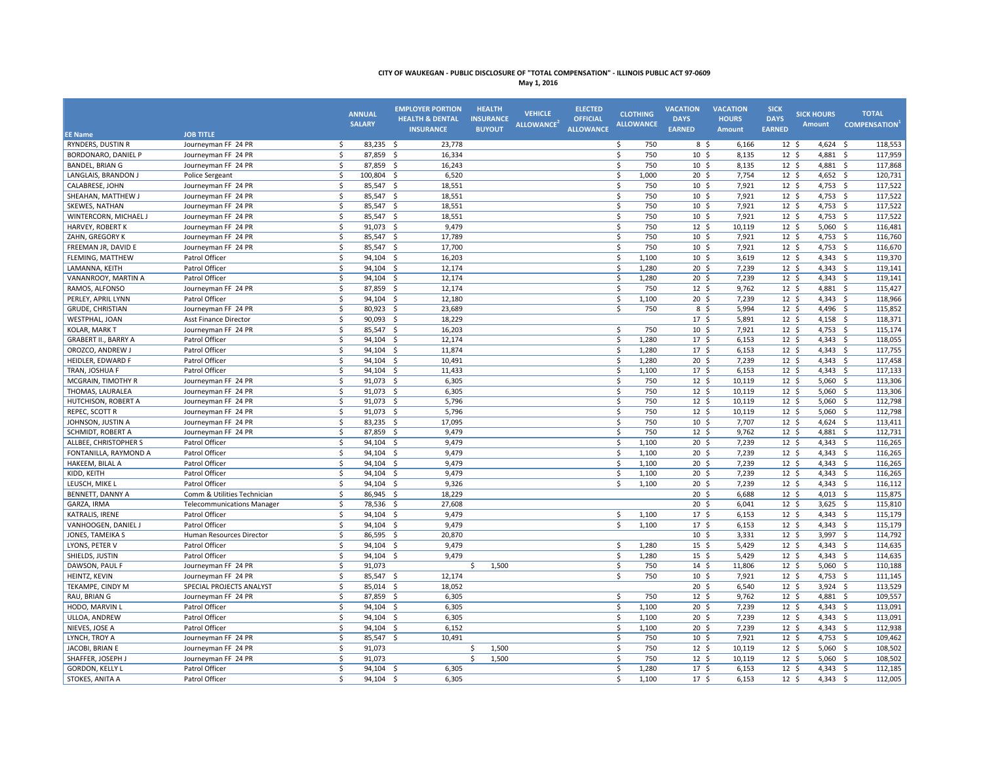| May 1, 20 |  |  |
|-----------|--|--|
|-----------|--|--|

|                                     | <b>JOB TITLE</b>                  |                    | <b>ANNUAL</b><br><b>SALARY</b> | <b>EMPLOYER PORTION</b><br><b>HEALTH &amp; DENTAL</b><br><b>INSURANCE</b> | <b>HEALTH</b><br><b>INSURANCE</b><br><b>BUYOUT</b> | <b>VEHICLE</b><br>ALLOWANCE <sup>2</sup> | <b>ELECTED</b><br><b>OFFICIAL</b><br><b>ALLOWANCE</b> | <b>CLOTHING</b><br><b>ALLOWANCE</b> | <b>VACATION</b><br><b>DAYS</b><br><b>EARNED</b> | <b>VACATION</b><br><b>HOURS</b><br>Amount | <b>SICK</b><br><b>DAYS</b><br><b>EARNED</b> | <b>SICK HOURS</b><br><b>Amount</b> | <b>TOTAL</b><br><b>COMPENSATION</b> |
|-------------------------------------|-----------------------------------|--------------------|--------------------------------|---------------------------------------------------------------------------|----------------------------------------------------|------------------------------------------|-------------------------------------------------------|-------------------------------------|-------------------------------------------------|-------------------------------------------|---------------------------------------------|------------------------------------|-------------------------------------|
| <b>EE Name</b><br>RYNDERS, DUSTIN R | Journeyman FF 24 PR               | \$                 | 83,235 \$                      |                                                                           |                                                    |                                          |                                                       | 750                                 |                                                 |                                           |                                             |                                    |                                     |
| <b>BORDONARO, DANIEL P</b>          | Journeyman FF 24 PR               | \$                 | 87,859 \$                      | 23,778<br>16,334                                                          |                                                    |                                          |                                                       | \$<br>\$<br>750                     | 8 \$<br>10 <sup>5</sup>                         | 6,166<br>8,135                            | 12 <sup>5</sup><br>12 <sup>5</sup>          | $4,624$ \$<br>4,881 \$             | 118,553<br>117,959                  |
| <b>BANDEL, BRIAN G</b>              | Journeyman FF 24 PR               | \$                 | 87,859 \$                      | 16,243                                                                    |                                                    |                                          |                                                       | \$<br>750                           | $10 \frac{2}{3}$                                | 8,135                                     | 12 <sup>5</sup>                             | 4,881 \$                           | 117,868                             |
| LANGLAIS, BRANDON J                 | Police Sergeant                   | \$                 | 100,804 \$                     | 6,520                                                                     |                                                    |                                          |                                                       | \$<br>1,000                         | 20 <sup>5</sup>                                 | 7,754                                     | $12 \quad$                                  | 4,652                              | 120,731<br>$\sim$                   |
| CALABRESE, JOHN                     | Journeyman FF 24 PR               | \$                 | 85,547 \$                      | 18,551                                                                    |                                                    |                                          |                                                       | \$<br>750                           | 10 <sup>5</sup>                                 | 7,921                                     | 12 <sup>5</sup>                             | $4,753$ \$                         | 117,522                             |
| SHEAHAN, MATTHEW J                  | Journeyman FF 24 PR               | \$                 | 85,547 \$                      | 18,551                                                                    |                                                    |                                          |                                                       | 750<br>\$                           | 10 <sup>5</sup>                                 | 7,921                                     | $12 \quad$                                  | 4,753 \$                           | 117,522                             |
| SKEWES, NATHAN                      | Journeyman FF 24 PR               | \$                 | 85,547 \$                      | 18,551                                                                    |                                                    |                                          |                                                       | \$<br>750                           | 10 <sup>5</sup>                                 | 7,921                                     | 12 <sup>5</sup>                             | 4,753                              | 117,522<br>$\sim$                   |
| WINTERCORN, MICHAEL J               | Journeyman FF 24 PR               | \$                 | 85,547 \$                      | 18,551                                                                    |                                                    |                                          |                                                       | \$<br>750                           | 10 <sup>5</sup>                                 | 7,921                                     | 12 <sup>5</sup>                             | $4,753$ \$                         | 117,522                             |
| <b>HARVEY, ROBERT K</b>             | Journeyman FF 24 PR               | \$                 | 91,073<br>- \$                 | 9,479                                                                     |                                                    |                                          |                                                       | \$<br>750                           | 12 <sup>5</sup>                                 | 10,119                                    | 12 <sup>5</sup>                             | 5,060                              | 116,481<br>- \$                     |
| ZAHN, GREGORY K                     | Journeyman FF 24 PR               | \$                 | 85,547 \$                      | 17,789                                                                    |                                                    |                                          |                                                       | 750<br>\$                           | 10 <sup>5</sup>                                 | 7,921                                     | 12 <sup>5</sup>                             | $4,753$ \$                         | 116,760                             |
| FREEMAN JR, DAVID E                 | Journeyman FF 24 PR               | \$                 | 85,547 \$                      | 17,700                                                                    |                                                    |                                          |                                                       | 750<br>\$                           | 10 <sup>5</sup>                                 | 7,921                                     | 12 <sup>5</sup>                             | $4,753$ \$                         | 116,670                             |
| FLEMING, MATTHEW                    | Patrol Officer                    | \$                 | 94,104 \$                      | 16,203                                                                    |                                                    |                                          |                                                       | \$<br>1,100                         | 10 <sup>5</sup>                                 | 3,619                                     | 12 <sup>5</sup>                             | $4,343$ \$                         | 119,370                             |
| LAMANNA, KEITH                      | Patrol Officer                    | Ś.                 | 94.104 \$                      | 12.174                                                                    |                                                    |                                          |                                                       | Ŝ.<br>1.280                         | 20 <sub>5</sub>                                 | 7.239                                     | 12 <sup>5</sup>                             | $4.343 \quad S$                    | 119,141                             |
| VANANROOY, MARTIN A                 | Patrol Officer                    | \$                 | $94,104$ \$                    | 12,174                                                                    |                                                    |                                          |                                                       | \$<br>1,280                         | $20 \frac{2}{3}$                                | 7,239                                     | $12 \; \text{S}$                            | 4,343 \$                           | 119,141                             |
| RAMOS, ALFONSO                      | Journeyman FF 24 PR               | \$                 | 87,859 \$                      | 12,174                                                                    |                                                    |                                          |                                                       | \$<br>750                           | $12 \frac{2}{7}$                                | 9,762                                     | $12 \; \text{S}$                            | 4,881 \$                           | 115,427                             |
| PERLEY, APRIL LYNN                  | Patrol Officer                    | \$                 | 94,104 \$                      | 12,180                                                                    |                                                    |                                          |                                                       | \$<br>1,100                         | $20 \,$ \$                                      | 7,239                                     | $12 \quad$                                  | $4,343 \quad $5$                   | 118,966                             |
| <b>GRUDE, CHRISTIAN</b>             | Journeyman FF 24 PR               | \$                 | 80,923 \$                      | 23,689                                                                    |                                                    |                                          |                                                       | \$<br>750                           | $8\frac{2}{3}$                                  | 5,994                                     | 12 <sup>5</sup>                             | 4,496                              | 115,852<br>- \$                     |
| WESTPHAL, JOAN                      | Asst Finance Director             | \$                 | 90,093 \$                      | 18,229                                                                    |                                                    |                                          |                                                       |                                     | 17 <sup>5</sup>                                 | 5,891                                     | $12 \quad$                                  | $4,158$ \$                         | 118,371                             |
| <b>KOLAR, MARK T</b>                | Journeyman FF 24 PR               | \$                 | 85,547 \$                      | 16,203                                                                    |                                                    |                                          |                                                       | \$<br>750                           | 10 <sup>5</sup>                                 | 7,921                                     | $12 \; \text{S}$                            | 4,753 \$                           | 115,174                             |
| <b>GRABERT II., BARRY A</b>         | Patrol Officer                    | \$                 | 94,104<br>-\$                  | 12,174                                                                    |                                                    |                                          |                                                       | \$<br>1,280                         | 17 <sup>5</sup>                                 | 6,153                                     | $12 \quad$                                  | 4,343                              | 118,055<br>$\mathsf{S}$             |
| OROZCO, ANDREW J                    | Patrol Officer                    | \$                 | 94,104 \$                      | 11,874                                                                    |                                                    |                                          |                                                       | \$<br>1,280                         | 17 <sup>5</sup>                                 | 6,153                                     | $12 \quad$                                  | $4,343$ \$                         | 117,755                             |
| <b>HEIDLER, EDWARD F</b>            | Patrol Officer                    | Ś                  | 94,104 \$                      | 10,491                                                                    |                                                    |                                          |                                                       | Ŝ.<br>1,280                         | $20 \,$ \$                                      | 7,239                                     | 12 <sup>5</sup>                             | $4,343$ \$                         | 117,458                             |
| TRAN, JOSHUA F                      | Patrol Officer                    | \$                 | 94,104 \$                      | 11,433                                                                    |                                                    |                                          |                                                       | \$<br>1,100                         | 17 <sup>5</sup>                                 | 6,153                                     | $12 \quad$                                  | $4,343 \quad$ \$                   | 117,133                             |
| MCGRAIN, TIMOTHY R                  | Journeyman FF 24 PR               | \$                 | 91,073 \$                      | 6,305                                                                     |                                                    |                                          |                                                       | \$<br>750                           | 12 <sup>5</sup>                                 | 10,119                                    | 12 <sup>5</sup>                             | $5,060$ \$                         | 113,306                             |
| THOMAS, LAURALEA                    | Journeyman FF 24 PR               | \$                 | $91.073$ \$                    | 6,305                                                                     |                                                    |                                          |                                                       | \$<br>750                           | 12 <sup>5</sup>                                 | 10.119                                    | 12 <sup>5</sup>                             | $5,060$ \$                         | 113,306                             |
| HUTCHISON, ROBERT A                 | Journeyman FF 24 PR               | \$                 | 91,073 \$                      | 5,796                                                                     |                                                    |                                          |                                                       | 750<br>\$                           | 12 <sup>5</sup>                                 | 10.119                                    | 12 <sup>5</sup>                             | 5,060                              | 112,798<br>- \$                     |
| REPEC, SCOTT R                      | Journeyman FF 24 PR               | \$                 | 91,073 \$                      | 5,796                                                                     |                                                    |                                          |                                                       | \$<br>750                           | $12 \quad$                                      | 10,119                                    | 12 <sup>5</sup>                             | $5,060$ \$                         | 112,798                             |
| JOHNSON, JUSTIN A                   | Journeyman FF 24 PR               | \$                 | $83,235$ \$                    | 17,095                                                                    |                                                    |                                          |                                                       | \$<br>750                           | $10 \frac{2}{3}$                                | 7,707                                     | $12 \frac{2}{7}$                            | 4,624 \$                           | 113,411                             |
| <b>SCHMIDT, ROBERT A</b>            | Journeyman FF 24 PR               | \$                 | 87,859 \$                      | 9,479                                                                     |                                                    |                                          |                                                       | \$<br>750                           | 12 <sup>5</sup>                                 | 9,762                                     | 12 <sup>5</sup>                             | 4,881 \$                           | 112,731                             |
| ALLBEE, CHRISTOPHER S               | Patrol Officer                    | \$                 | 94,104 \$                      | 9,479                                                                     |                                                    |                                          |                                                       | 1,100<br>\$                         | $20 \frac{2}{3}$                                | 7,239                                     | 12 <sup>5</sup>                             | 4,343 \$                           | 116,265                             |
| FONTANILLA, RAYMOND A               | Patrol Officer                    | \$                 | 94,104 \$                      | 9,479                                                                     |                                                    |                                          |                                                       | \$<br>1,100                         | $20 \frac{2}{3}$                                | 7,239                                     | $12 \; \text{S}$                            | 4,343 \$                           | 116,265                             |
| HAKEEM, BILAL A                     | Patrol Officer                    | \$                 | 94,104 \$                      | 9,479                                                                     |                                                    |                                          |                                                       | \$<br>1,100                         | $20 \frac{2}{3}$                                | 7,239                                     | $12 \quad$                                  | $4,343 \quad $5$                   | 116,265                             |
| KIDD, KEITH                         | Patrol Officer                    | $\dot{\mathsf{S}}$ | 94,104<br>-\$                  | 9,479                                                                     |                                                    |                                          |                                                       | \$<br>1,100                         | 20 <sup>5</sup>                                 | 7,239                                     | $12 \quad$                                  | 4,343                              | 116,265<br>\$                       |
| LEUSCH, MIKE L                      | Patrol Officer                    | \$                 | 94,104 \$                      | 9,326                                                                     |                                                    |                                          |                                                       | Ŝ.<br>1,100                         | $20 \div$                                       | 7,239                                     | $12 \quad$                                  | $4,343$ \$                         | 116,112                             |
| BENNETT, DANNY A                    | Comm & Utilities Technician       | \$                 | 86,945 \$                      | 18,229                                                                    |                                                    |                                          |                                                       |                                     | 20 <sup>5</sup>                                 | 6,688                                     | 12 <sup>5</sup>                             | $4,013$ \$                         | 115,875                             |
| GARZA, IRMA                         | <b>Telecommunications Manager</b> | \$                 | 78,536 \$                      | 27,608                                                                    |                                                    |                                          |                                                       |                                     | $20 \,$ \$                                      | 6,041                                     | $12 \quad$                                  | 3,625                              | 115,810<br>\$                       |
| KATRALIS, IRENE                     | Patrol Officer                    | $\mathsf{\hat{S}}$ | 94,104 \$                      | 9,479                                                                     |                                                    |                                          |                                                       | Ŝ.<br>1,100                         | 17 <sup>5</sup>                                 | 6,153                                     | 12 <sup>5</sup>                             | $4,343$ \$                         | 115,179                             |
| VANHOOGEN, DANIEL J                 | Patrol Officer                    | \$                 | 94,104 \$                      | 9,479                                                                     |                                                    |                                          |                                                       | \$<br>1,100                         | 17 <sup>5</sup>                                 | 6,153                                     | 12 <sup>5</sup>                             | $4,343 \quad $5$                   | 115,179                             |
| JONES, TAMEIKA S                    | Human Resources Director          | \$                 | 86,595 \$                      | 20,870                                                                    |                                                    |                                          |                                                       |                                     | 10 <sup>5</sup>                                 | 3,331                                     | 12 <sup>5</sup>                             | 3,997                              | $\mathsf{S}$<br>114,792             |
| LYONS, PETER V                      | Patrol Officer                    | \$                 | 94,104 \$                      | 9,479                                                                     |                                                    |                                          |                                                       | \$<br>1,280                         | $15 \pm 5$                                      | 5,429                                     | 12 <sup>5</sup>                             | $4,343$ \$                         | 114,635                             |
| SHIELDS, JUSTIN                     | Patrol Officer                    | $\mathsf{s}$       | 94.104 \$                      | 9,479                                                                     |                                                    |                                          |                                                       | Ŝ.<br>1.280                         | 15 <sup>5</sup>                                 | 5.429                                     | 12 <sup>5</sup>                             | $4,343$ \$                         | 114,635                             |
| DAWSON, PAUL F                      | Journeyman FF 24 PR               | \$                 | 91,073                         |                                                                           | 1,500<br>Ŝ.                                        |                                          |                                                       | Ŝ.<br>750                           | $14 \; \text{S}$                                | 11.806                                    | 12 <sup>5</sup>                             | 5,060                              | 110,188<br>- \$                     |
| HEINTZ, KEVIN                       | Journeyman FF 24 PR               | \$                 | 85,547 \$                      | 12,174                                                                    |                                                    |                                          |                                                       | \$<br>750                           | $10 \frac{2}{3}$                                | 7,921                                     | $12 \; \text{S}$                            | 4,753 \$                           | 111,145                             |
| TEKAMPE, CINDY M                    | SPECIAL PROJECTS ANALYST          | \$                 | 85,014<br>- \$                 | 18,052                                                                    |                                                    |                                          |                                                       |                                     | $20 \frac{2}{3}$                                | 6,540                                     | $12 \frac{2}{7}$                            | $3,924$ \$                         | 113,529                             |
| RAU, BRIAN G                        | Journeyman FF 24 PR               | \$                 | 87,859<br>- \$                 | 6,305                                                                     |                                                    |                                          |                                                       | \$<br>750                           | 12 <sup>5</sup>                                 | 9,762                                     | 12 <sup>5</sup>                             | 4,881 \$                           | 109,557                             |
| HODO, MARVIN L                      | Patrol Officer                    | \$                 | 94,104 \$                      | 6,305                                                                     |                                                    |                                          |                                                       | \$<br>1,100                         | $20 \frac{2}{3}$                                | 7,239                                     | 12 <sup>5</sup>                             | 4,343 \$                           | 113,091                             |
| ULLOA, ANDREW                       | Patrol Officer                    | \$                 | $94,104$ \$                    | 6,305                                                                     |                                                    |                                          |                                                       | \$<br>1,100                         | $20 \frac{2}{3}$                                | 7,239                                     | $12 \; \text{S}$                            | 4,343 \$                           | 113,091                             |
| NIEVES, JOSE A                      | Patrol Officer                    | \$                 | 94,104 \$                      | 6,152                                                                     |                                                    |                                          |                                                       | \$<br>1,100                         | $20 \,$ \$                                      | 7,239                                     | $12 \quad$                                  | $4,343$ \$                         | 112,938                             |
| LYNCH, TROY A                       | Journeyman FF 24 PR               | \$                 | 85,547 \$                      | 10,491                                                                    |                                                    |                                          |                                                       | \$<br>750                           | 10 <sup>5</sup>                                 | 7,921                                     | 12 <sup>5</sup>                             | 4,753 \$                           | 109,462                             |
| JACOBI, BRIAN E                     | Journeyman FF 24 PR               | \$                 | 91,073                         |                                                                           | \$<br>1,500                                        |                                          |                                                       | \$<br>750                           | 12 <sup>5</sup>                                 | 10,119                                    | 12 <sup>5</sup>                             | $5,060$ \$                         | 108,502                             |
| SHAFFER, JOSEPH J                   | Journeyman FF 24 PR               | \$                 | 91,073                         |                                                                           | 1,500<br>Ŝ.                                        |                                          |                                                       | \$<br>750                           | $12 \quad$                                      | 10,119                                    | 12 <sup>5</sup>                             | $5,060$ \$                         | 108,502                             |
| <b>GORDON, KELLY L</b>              | Patrol Officer                    | \$                 | 94,104<br>- \$                 | 6,305                                                                     |                                                    |                                          |                                                       | Ŝ.<br>1,280                         | 17 <sup>5</sup>                                 | 6,153                                     | $12 \quad$                                  | 4,343                              | 112,185<br>- Ś                      |
| STOKES, ANITA A                     | Patrol Officer                    | Ś.                 | 94.104 \$                      | 6.305                                                                     |                                                    |                                          |                                                       | Ŝ.<br>1.100                         | 17 <sup>5</sup>                                 | 6.153                                     | 12 <sup>5</sup>                             | $4.343 \quad S$                    | 112,005                             |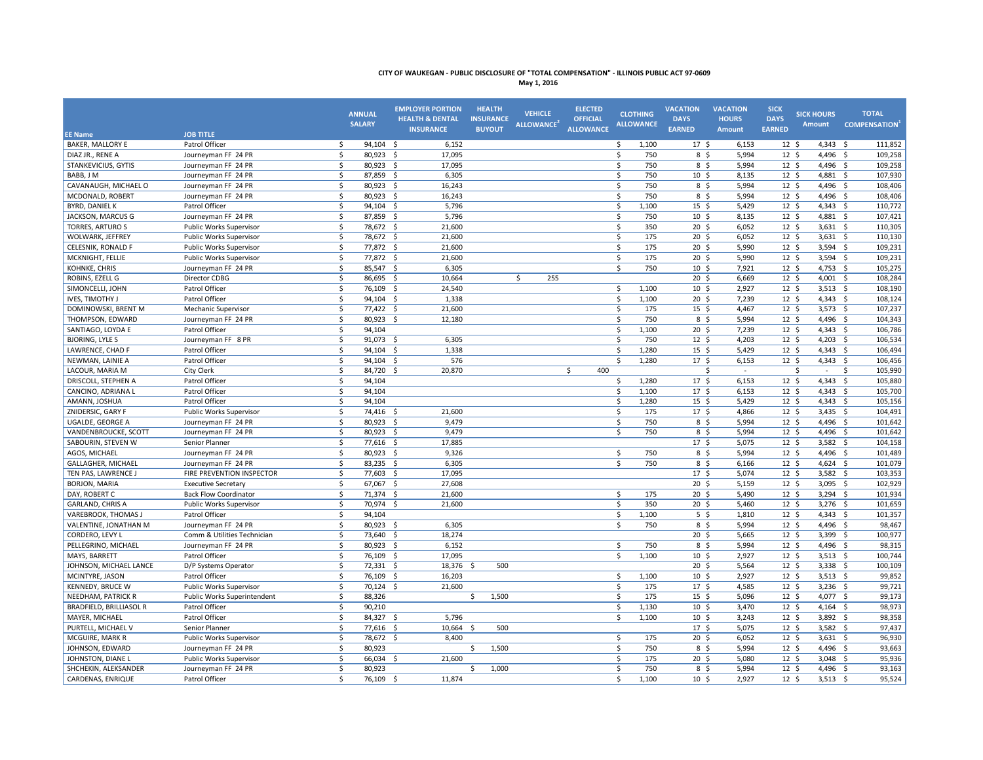**May 1, 2016**

| <b>EE Name</b>                 | <b>JOB TITLE</b>             | <b>ANNUAL</b><br><b>SALARY</b> |                        | <b>EMPLOYER PORTION</b><br><b>HEALTH &amp; DENTAL</b><br><b>INSURANCE</b> | <b>HEALTH</b><br><b>INSURANCE</b><br><b>BUYOUT</b> | <b>VEHICLE</b><br>ALLOWANCE <sup>2</sup> | <b>ELECTED</b><br><b>OFFICIAL</b><br><b>ALLOWANCE</b> | <b>CLOTHING</b><br><b>ALLOWANCE</b> | <b>VACATION</b><br><b>DAYS</b><br><b>EARNED</b> | <b>VACATION</b><br><b>HOURS</b><br>Amount | <b>SICK</b><br><b>DAYS</b><br><b>EARNED</b> | <b>SICK HOURS</b><br><b>Amount</b> | <b>TOTAL</b><br><b>COMPENSATION</b> |
|--------------------------------|------------------------------|--------------------------------|------------------------|---------------------------------------------------------------------------|----------------------------------------------------|------------------------------------------|-------------------------------------------------------|-------------------------------------|-------------------------------------------------|-------------------------------------------|---------------------------------------------|------------------------------------|-------------------------------------|
| <b>BAKER, MALLORY E</b>        | Patrol Officer               | \$                             | 94,104 \$              | 6,152                                                                     |                                                    |                                          |                                                       | \$<br>1,100                         | 17 <sup>5</sup>                                 | 6,153                                     | 12 <sup>5</sup>                             | $4,343 \quad $5$                   | 111,852                             |
| DIAZ JR., RENE A               | Journeyman FF 24 PR          | \$                             | 80,923 \$              | 17,095                                                                    |                                                    |                                          |                                                       | \$<br>750                           | 8 <sup>5</sup>                                  | 5,994                                     | 12 <sup>5</sup>                             | $4,496$ \$                         | 109,258                             |
| STANKEVICIUS, GYTIS            | Journeyman FF 24 PR          | \$                             | 80,923 \$              | 17,095                                                                    |                                                    |                                          |                                                       | Ś.<br>750                           | 8 <sup>5</sup>                                  | 5,994                                     | 12 <sup>5</sup>                             | $4,496$ \$                         | 109,258                             |
| BABB. J M                      | Journeyman FF 24 PR          | $\mathsf{\hat{S}}$             | 87,859 \$              | 6,305                                                                     |                                                    |                                          |                                                       | 750<br>Ŝ.                           | 10 <sub>5</sub>                                 | 8.135                                     | 12 <sup>5</sup>                             | 4.881 \$                           | 107,930                             |
| CAVANAUGH, MICHAEL O           | Journeyman FF 24 PR          | \$                             | 80,923 \$              | 16,243                                                                    |                                                    |                                          |                                                       | Ś.<br>750                           | $8\sqrt{5}$                                     | 5,994                                     | $12 \; \text{S}$                            | 4,496 \$                           | 108,406                             |
| MCDONALD, ROBERT               | Journeyman FF 24 PR          | \$                             | 80,923 \$              | 16,243                                                                    |                                                    |                                          |                                                       | \$<br>750                           | $8\frac{2}{3}$                                  | 5,994                                     | $12 \; \text{S}$                            | 4,496 \$                           | 108,406                             |
| <b>BYRD, DANIEL K</b>          | Patrol Officer               | \$                             | $94,104$ \$            | 5,796                                                                     |                                                    |                                          |                                                       | \$<br>1,100                         | 15 <sup>5</sup>                                 | 5,429                                     | 12 <sup>5</sup>                             | 4,343 \$                           | 110,772                             |
| JACKSON, MARCUS G              | Journeyman FF 24 PR          | \$                             | 87,859                 | 5,796<br>- \$                                                             |                                                    |                                          |                                                       | 750<br>Ś                            | 10 <sup>5</sup>                                 | 8,135                                     | $12 \; \text{S}$                            | 4,881                              | 107,421<br>- \$                     |
| <b>TORRES, ARTURO S</b>        | Public Works Supervisor      | \$                             | 78,672 \$              | 21,600                                                                    |                                                    |                                          |                                                       | 350<br>\$                           | $20 \,$ \$                                      | 6,052                                     | 12 <sup>5</sup>                             | $3,631$ \$                         | 110,305                             |
| WOLWARK, JEFFREY               | Public Works Supervisor      | \$                             | 78,672 \$              | 21,600                                                                    |                                                    |                                          |                                                       | \$<br>175                           | $20 \frac{2}{3}$                                | 6,052                                     | $12 \; \text{S}$                            | $3,631$ \$                         | 110,130                             |
| CELESNIK, RONALD F             | Public Works Supervisor      | $\zeta$                        | 77,872 \$              | 21,600                                                                    |                                                    |                                          |                                                       | \$<br>175                           | 20 <sup>5</sup>                                 | 5,990                                     | 12 <sup>5</sup>                             | 3,594                              | 109,231<br>$\mathsf{S}$             |
| MCKNIGHT, FELLIE               | Public Works Supervisor      | \$                             | 77,872 \$              | 21,600                                                                    |                                                    |                                          |                                                       | 175<br>\$                           | $20 \frac{2}{3}$                                | 5,990                                     | $12 \; \text{S}$                            | $3,594$ \$                         | 109,231                             |
| KOHNKE, CHRIS                  | Journeyman FF 24 PR          | \$                             | 85,547 \$              | 6,305                                                                     |                                                    |                                          |                                                       | \$<br>750                           | $10 \; \text{S}$                                | 7,921                                     | $12 \; \text{S}$                            | 4,753 \$                           | 105,275                             |
| ROBINS, EZELL G                | Director CDBG                | \$                             | 86,695 \$              | 10,664                                                                    |                                                    | \$<br>255                                |                                                       |                                     | 20 <sup>5</sup>                                 | 6,669                                     | 12 <sup>5</sup>                             | 4,001                              | 108,284<br>\$                       |
| SIMONCELLI, JOHN               | Patrol Officer               | $\mathsf{\$}$                  | 76,109 \$              | 24,540                                                                    |                                                    |                                          |                                                       | \$<br>1,100                         | 10 <sup>5</sup>                                 | 2,927                                     | 12 <sup>5</sup>                             | $3,513$ \$                         | 108,190                             |
| IVES, TIMOTHY J                | Patrol Officer               | \$                             | 94,104                 | - \$<br>1,338                                                             |                                                    |                                          |                                                       | \$<br>1,100                         | 20 <sup>5</sup>                                 | 7,239                                     | 12 <sup>5</sup>                             | $4,343$ \$                         | 108,124                             |
| DOMINOWSKI, BRENT M            | Mechanic Supervisor          | $\zeta$                        | 77,422 \$              | 21,600                                                                    |                                                    |                                          |                                                       | \$<br>175                           | 15 <sup>5</sup>                                 | 4,467                                     | 12 <sup>5</sup>                             | $3,573$ \$                         | 107,237                             |
| THOMPSON, EDWARD               | Journeyman FF 24 PR          | $\zeta$                        | 80,923 \$              | 12,180                                                                    |                                                    |                                          |                                                       | \$<br>750                           | $8\frac{2}{3}$                                  | 5,994                                     | 12 <sup>5</sup>                             | 4,496 \$                           | 104,343                             |
| SANTIAGO, LOYDA E              | Patrol Officer               | \$                             | 94,104                 |                                                                           |                                                    |                                          |                                                       | \$<br>1,100                         | $20 \,$ \$                                      | 7,239                                     | $12 \text{ } 5$                             | $4,343$ \$                         | 106,786                             |
| <b>BJORING, LYLE S</b>         | Journeyman FF 8 PR           | \$                             | 91,073                 | - \$<br>6,305                                                             |                                                    |                                          |                                                       | Ŝ.<br>750                           | $12 \,$ \$                                      | 4,203                                     | 12 <sup>5</sup>                             | 4,203                              | 106,534<br>\$                       |
| LAWRENCE, CHAD F               | Patrol Officer               | $\zeta$                        | 94,104                 | 1,338<br>- \$                                                             |                                                    |                                          |                                                       | 1,280<br>\$                         | 15 <sup>5</sup>                                 | 5,429                                     | 12 <sup>5</sup>                             | 4,343 \$                           | 106,494                             |
| NEWMAN, LAINIE A               | Patrol Officer               | \$                             | 94,104                 | - \$<br>576                                                               |                                                    |                                          |                                                       | \$<br>1,280                         | 17 <sup>5</sup>                                 | 6,153                                     | 12 <sup>5</sup>                             | 4,343                              | 106,456<br>$\mathsf{S}$             |
| LACOUR, MARIA M                | City Clerk                   | \$                             | 84,720 \$              | 20,870                                                                    |                                                    |                                          | 400<br>\$                                             |                                     | $\mathsf{\hat{S}}$                              | $\sim$                                    |                                             | \$<br>$\sim$                       | 105,990<br>\$                       |
| DRISCOLL, STEPHEN A            | Patrol Officer               | $\zeta$                        | 94,104                 |                                                                           |                                                    |                                          |                                                       | \$<br>1,280                         | 17 <sup>5</sup>                                 | 6,153                                     | 12 <sup>5</sup>                             | $4,343$ \$                         | 105,880                             |
| CANCINO, ADRIANA L             | Patrol Officer               | \$                             | 94,104                 |                                                                           |                                                    |                                          |                                                       | \$<br>1,100                         | 17 <sup>5</sup>                                 | 6,153                                     | 12 <sup>5</sup>                             | $4,343$ \$                         | 105,700                             |
| AMANN, JOSHUA                  | Patrol Officer               | \$                             | 94,104                 |                                                                           |                                                    |                                          |                                                       | \$<br>1,280                         | 15 <sup>5</sup>                                 | 5,429                                     | 12 <sup>5</sup>                             | $4,343 \quad $5$                   | 105,156                             |
| <b>ZNIDERSIC, GARY F</b>       | Public Works Supervisor      | \$                             | 74,416 \$              | 21,600                                                                    |                                                    |                                          |                                                       | \$<br>175                           | 17 <sub>5</sub>                                 | 4.866                                     | 12 <sup>5</sup>                             | $3,435$ \$                         | 104,491                             |
| UGALDE, GEORGE A               | Journeyman FF 24 PR          | \$                             | 80,923                 | - \$<br>9,479                                                             |                                                    |                                          |                                                       | \$<br>750                           | 8 <sup>5</sup>                                  | 5,994                                     | 12 <sup>5</sup>                             | $4,496$ \$                         | 101,642                             |
| VANDENBROUCKE, SCOTT           | Journeyman FF 24 PR          | \$                             | 80,923 \$              | 9,479                                                                     |                                                    |                                          |                                                       | \$<br>750                           | 8 <sup>5</sup>                                  | 5,994                                     | 12 <sup>5</sup>                             | $4,496$ \$                         | 101,642                             |
| SABOURIN, STEVEN W             | Senior Planner               | Ŝ.                             | 77,616                 | 17,885<br>- \$                                                            |                                                    |                                          |                                                       |                                     | 17 <sup>5</sup>                                 | 5.075                                     | 12 <sup>5</sup>                             | 3,582                              | 104,158<br>- Ś                      |
| AGOS, MICHAEL                  | Journeyman FF 24 PR          | \$                             | 80,923 \$              | 9,326                                                                     |                                                    |                                          |                                                       | \$<br>750                           | 8 <sup>5</sup>                                  | 5,994                                     | 12 <sup>5</sup>                             | $4,496$ \$                         | 101,489                             |
| GALLAGHER, MICHAEL             | Journeyman FF 24 PR          | \$                             | 83,235 \$              | 6,305                                                                     |                                                    |                                          |                                                       | \$<br>750                           | 8 <sup>5</sup>                                  | 6,166                                     | 12 <sup>5</sup>                             | $4,624$ \$                         | 101,079                             |
| TEN PAS, LAWRENCE J            | FIRE PREVENTION INSPECTOR    | \$                             | 77,603                 | 17,095<br>-\$                                                             |                                                    |                                          |                                                       |                                     | $17 \frac{2}{7}$                                | 5,074                                     | $12 \; \text{S}$                            | 3,582                              | 103,353<br>-\$                      |
| <b>BORJON, MARIA</b>           | <b>Executive Secretary</b>   | $\zeta$                        | 67,067 \$              | 27,608                                                                    |                                                    |                                          |                                                       |                                     | $20 \frac{2}{3}$                                | 5,159                                     | $12 \; \text{S}$                            | 3,095 \$                           | 102,929                             |
| DAY, ROBERT C                  | <b>Back Flow Coordinator</b> | \$                             | 71,374                 | - \$<br>21,600                                                            |                                                    |                                          |                                                       | \$<br>175                           | $20 \frac{2}{3}$                                | 5,490                                     | $12 \; \text{S}$                            | 3,294 \$                           | 101,934                             |
| GARLAND, CHRIS A               | Public Works Supervisor      | \$                             | 70,974 \$              | 21,600                                                                    |                                                    |                                          |                                                       | \$<br>350                           | 20 <sup>5</sup>                                 | 5,460                                     | 12 <sup>5</sup>                             | $3,276$ \$                         | 101,659                             |
| VAREBROOK, THOMAS J            | Patrol Officer               | \$                             | 94,104                 |                                                                           |                                                    |                                          |                                                       | \$<br>1,100                         | $5\frac{1}{2}$                                  | 1,810                                     | $12 \; \text{S}$                            | 4,343 \$                           | 101,357                             |
| VALENTINE, JONATHAN M          | Journeyman FF 24 PR          | \$                             | 80,923                 | 6,305<br>- \$                                                             |                                                    |                                          |                                                       | \$<br>750                           | $8\frac{2}{3}$                                  | 5,994                                     | $12 \quad$                                  | 4,496 \$                           | 98,467                              |
| CORDERO, LEVY L                | Comm & Utilities Technician  | \$                             | 73,640 \$              | 18,274                                                                    |                                                    |                                          |                                                       |                                     | 20 <sup>5</sup>                                 | 5,665                                     | 12 <sup>5</sup>                             | 3,399 \$                           | 100,977                             |
| PELLEGRINO, MICHAEL            | Journeyman FF 24 PR          | \$                             | 80,923 \$              | 6,152                                                                     |                                                    |                                          |                                                       | \$<br>750                           | $8\sqrt{5}$                                     | 5,994                                     | $12 \; \text{S}$                            | 4,496 \$                           | 98,315                              |
| MAYS, BARRETT                  | Patrol Officer               | \$                             | 76,109                 | -\$<br>17,095                                                             |                                                    |                                          |                                                       | \$<br>1,100                         | 10 <sup>5</sup>                                 | 2,927                                     | 12 <sup>5</sup>                             | $3,513$ \$                         | 100,744                             |
| JOHNSON, MICHAEL LANCE         | D/P Systems Operator         | \$                             | $\overline{72,331}$ \$ | 18,376                                                                    | 500<br>- S                                         |                                          |                                                       |                                     | $20 \,$ \$                                      | 5,564                                     | $12 \quad$                                  | $3,338$ \$                         | 100,109                             |
| MCINTYRE, JASON                | Patrol Officer               | $\zeta$                        | 76,109                 | - \$<br>16,203                                                            |                                                    |                                          |                                                       | \$<br>1,100                         | 10 <sup>5</sup>                                 | 2,927                                     | 12 <sup>5</sup>                             | $3,513$ \$                         | 99,852                              |
| KENNEDY, BRUCE W               | Public Works Supervisor      | \$                             | 70,124 \$              | 21,600                                                                    |                                                    |                                          |                                                       | \$<br>175                           | $17 \frac{2}{7}$                                | 4,585                                     | $12 \; \text{S}$                            | $3,236$ \$                         | 99,721                              |
| NEEDHAM, PATRICK R             | Public Works Superintendent  | \$                             | 88,326                 |                                                                           | \$<br>1,500                                        |                                          |                                                       | \$<br>175                           | 15 <sup>5</sup>                                 | 5,096                                     | 12 <sup>5</sup>                             | 4,077 \$                           | 99,173                              |
| <b>BRADFIELD, BRILLIASOL R</b> | Patrol Officer               | \$                             | 90,210                 |                                                                           |                                                    |                                          |                                                       | \$<br>1,130                         | 10 <sup>5</sup>                                 | 3,470                                     | $12 \quad$                                  | 4,164                              | 98,973<br>- \$                      |
| MAYER, MICHAEL                 | Patrol Officer               | $\mathsf{\$}$                  | 84,327 \$              | 5,796                                                                     |                                                    |                                          |                                                       | $\mathsf{\hat{S}}$<br>1,100         | 10 <sup>5</sup>                                 | 3,243                                     | 12 <sup>5</sup>                             | $3,892$ \$                         | 98,358                              |
| PURTELL, MICHAEL V             | Senior Planner               | \$                             | 77,616 \$              | 10,664                                                                    | 500<br>- Ś                                         |                                          |                                                       |                                     | 17 <sup>5</sup>                                 | 5,075                                     | 12 <sup>5</sup>                             | $3,582$ \$                         | 97,437                              |
| MCGUIRE, MARK R                | Public Works Supervisor      | \$                             | 78,672                 | - \$<br>8,400                                                             |                                                    |                                          |                                                       | $\mathsf{S}$<br>175                 | 20 <sup>5</sup>                                 | 6,052                                     | $12 \quad$                                  | 3,631                              | 96,930<br>- \$                      |
| JOHNSON, EDWARD                | Journeyman FF 24 PR          | $\mathsf{\$}$                  | 80,923                 |                                                                           | \$<br>1,500                                        |                                          |                                                       | 750<br>\$                           | 8 <sup>5</sup>                                  | 5,994                                     | 12 <sup>5</sup>                             | 4,496 \$                           | 93,663                              |
| JOHNSTON, DIANE L              | Public Works Supervisor      | \$                             | 66,034 \$              | 21,600                                                                    |                                                    |                                          |                                                       | \$<br>175                           | $20 \,$ \$                                      | 5,080                                     | 12 <sup>5</sup>                             | $3,048$ \$                         | 95,936                              |
| SHCHEKIN, ALEKSANDER           | Journeyman FF 24 PR          | \$                             | 80,923                 |                                                                           | Ś.<br>1,000                                        |                                          |                                                       | Ś.<br>750                           | 8 <sup>5</sup>                                  | 5,994                                     | $12 \quad$                                  | 4,496                              | 93,163<br>- \$                      |
| CARDENAS, ENRIQUE              | Patrol Officer               | \$                             | 76,109                 | 11,874<br>-Ŝ                                                              |                                                    |                                          |                                                       | Ŝ.<br>1.100                         | 10 <sup>5</sup>                                 | 2.927                                     | $12 \div$                                   | 3,513                              | 95,524<br>- \$                      |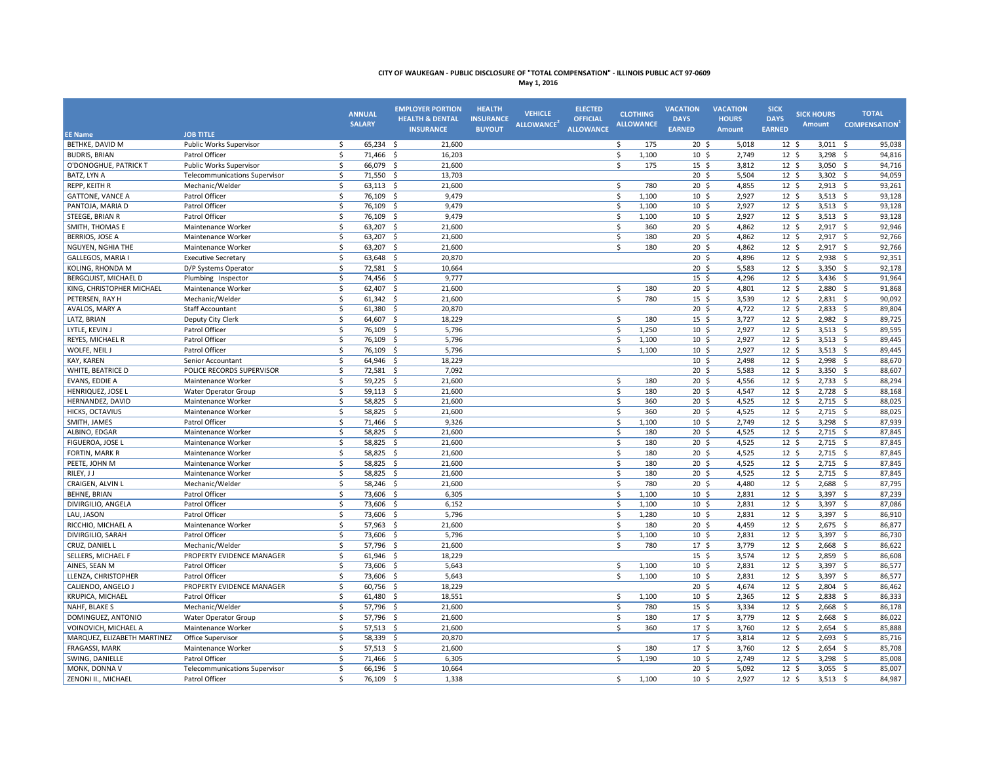| <b>JOB TITLE</b><br><b>EE Name</b><br>Public Works Supervisor<br>65,234<br>21,600<br>95,038<br>BETHKE, DAVID M<br>\$<br>- \$<br>\$<br>175<br>20 <sup>5</sup><br>5,018<br>12 <sup>5</sup><br>3,011<br>- \$<br><b>BUDRIS, BRIAN</b><br>Patrol Officer<br>\$<br>71,466 \$<br>16,203<br>\$<br>1,100<br>10 <sup>5</sup><br>2,749<br>12 <sup>5</sup><br>3,298 \$<br>94,816<br>\$<br>O'DONOGHUE, PATRICK T<br>\$<br>66,079 \$<br>21,600<br>175<br>$15 \; \S$<br>3,812<br>12 <sup>5</sup><br>$3,050$ \$<br>94,716<br>Public Works Supervisor<br>\$<br>71,550 \$<br>$12 \quad$<br>94,059<br>BATZ, LYN A<br><b>Telecommunications Supervisor</b><br>13,703<br>20 <sup>5</sup><br>5,504<br>3,302<br>\$<br>\$<br>\$<br>780<br>$20 \,$ \$<br>12 <sup>5</sup><br>$2,913$ \$<br>93,261<br>REPP, KEITH R<br>$63,113$ \$<br>21,600<br>4,855<br>Mechanic/Welder<br>\$<br>\$<br>12 <sup>5</sup><br>93,128<br><b>GATTONE, VANCE A</b><br>Patrol Officer<br>76,109 \$<br>9,479<br>1,100<br>10 <sup>5</sup><br>2,927<br>$3,513$ \$<br>\$<br>76,109<br>9,479<br>\$<br>2,927<br>12 <sup>5</sup><br>93,128<br>PANTOJA, MARIA D<br>Patrol Officer<br>- \$<br>1,100<br>10 <sup>5</sup><br>$3,513$ \$<br>\$<br>76,109 \$<br>9,479<br>\$<br>10 <sup>5</sup><br>2,927<br>12 <sup>5</sup><br>$3,513$ \$<br>93,128<br>STEEGE, BRIAN R<br>Patrol Officer<br>1,100<br>\$<br>63,207<br>$\mathsf{s}$<br>20 <sup>5</sup><br>4,862<br>12 <sup>5</sup><br>92,946<br>SMITH, THOMAS E<br>Maintenance Worker<br>- \$<br>21,600<br>360<br>$2,917$ \$<br>\$<br>$63,207$ \$<br>\$<br>180<br>$20 \frac{2}{3}$<br>12 <sup>5</sup><br>$2,917$ \$<br>92,766<br><b>BERRIOS, JOSE A</b><br>Maintenance Worker<br>21,600<br>4,862<br>\$<br>$63,207$ \$<br>$20 \frac{2}{3}$<br>4,862<br>$12 \; \text{S}$<br>$2,917$ \$<br>92,766<br>NGUYEN, NGHIA THE<br>Maintenance Worker<br>21,600<br>Ś.<br>180<br>92,351<br>GALLEGOS, MARIA I<br>\$<br>63,648 \$<br>20,870<br>$20 \frac{2}{3}$<br>4,896<br>$12 \; \text{S}$<br>$2,938$ \$<br><b>Executive Secretary</b><br>\$<br>$20 \,$ \$<br>12 <sup>5</sup><br>92,178<br>72,581 \$<br>5,583<br>$3,350$ \$<br>KOLING, RHONDA M<br>D/P Systems Operator<br>10,664<br>\$<br>74,456 \$<br>9,777<br>15 <sup>5</sup><br>4,296<br>12 <sup>5</sup><br>$3,436$ \$<br>91,964<br><b>BERGQUIST, MICHAEL D</b><br>Plumbing Inspector<br>$62,407$ \$<br>$20 \frac{2}{3}$<br>12 <sup>5</sup><br>91,868<br>KING, CHRISTOPHER MICHAEL<br>\$<br>21,600<br>\$<br>180<br>4,801<br>2,880<br>\$<br>Maintenance Worker<br>\$<br>$61,342$ \$<br>\$<br>780<br>15 <sup>5</sup><br>12 <sup>5</sup><br>$2,831$ \$<br>90,092<br>PETERSEN, RAY H<br>21,600<br>3,539<br>Mechanic/Welder<br>\$<br>$12 \quad$<br>61,380<br>20,870<br>20 <sup>5</sup><br>4,722<br>2,833<br>89,804<br>AVALOS, MARY A<br><b>Staff Accountant</b><br>- \$<br>- \$<br>$12 \text{ } 5$<br>\$<br>64,607 \$<br>Ŝ.<br>$15 \quad$<br>3,727<br>$2,982$ \$<br>89,725<br>LATZ, BRIAN<br>Deputy City Clerk<br>18,229<br>180<br>LYTLE, KEVIN J<br>\$<br>76,109<br>\$<br>1,250<br>10 <sup>5</sup><br>2,927<br>12 <sup>5</sup><br>89,595<br>Patrol Officer<br>- \$<br>5,796<br>$3,513$ \$<br>Patrol Officer<br>\$<br>76,109<br>5,796<br>\$<br>10 <sup>5</sup><br>2,927<br>12 <sup>5</sup><br>3,513<br>89,445<br>REYES, MICHAEL R<br>- \$<br>1,100<br>- \$<br>12 <sup>5</sup><br>\$<br>76,109<br>5,796<br>Ŝ.<br>1,100<br>10 <sup>5</sup><br>2,927<br>$3,513$ \$<br>89,445<br>WOLFE, NEIL J<br>Patrol Officer<br>- \$<br><sup>\$</sup><br>64,946 \$<br>18,229<br>$10 \; \text{S}$<br>2,498<br>$12 \; \text{S}$<br>88,670<br>KAY, KAREN<br>Senior Accountant<br>$2,998$ \$<br>POLICE RECORDS SUPERVISOR<br>\$<br>72,581 \$<br>7,092<br>20 <sup>5</sup><br>5,583<br>12 <sup>5</sup><br>3,350 \$<br>88,607<br>WHITE, BEATRICE D<br>EVANS, EDDIE A<br>\$<br>$59,225$ \$<br>21,600<br>\$<br>180<br>$20 \frac{2}{3}$<br>4,556<br>$12 \; \text{S}$<br>$2,733$ \$<br>88,294<br>Maintenance Worker<br>\$<br>\$<br>20 <sup>5</sup><br>$12 \quad$<br>88,168<br>59,113 \$<br>21,600<br>180<br>4,547<br>$2,728$ \$<br>HENRIQUEZ, JOSE L<br>Water Operator Group<br>HERNANDEZ, DAVID<br>\$<br>58,825 \$<br>21,600<br>\$<br>360<br>20 <sup>5</sup><br>4,525<br>12 <sup>5</sup><br>$2,715$ \$<br>88,025<br>Maintenance Worker<br>58,825 \$<br>88,025<br>HICKS, OCTAVIUS<br>\$<br>21,600<br>\$<br>360<br>20 <sup>5</sup><br>4,525<br>12 <sup>5</sup><br>$2,715$ \$<br>Maintenance Worker<br>$\dot{\mathsf{S}}$<br>71,466 \$<br>9,326<br>\$<br>10 <sup>5</sup><br>2,749<br>12 <sup>5</sup><br>3,298 \$<br>87,939<br>SMITH, JAMES<br>Patrol Officer<br>1,100 |
|---------------------------------------------------------------------------------------------------------------------------------------------------------------------------------------------------------------------------------------------------------------------------------------------------------------------------------------------------------------------------------------------------------------------------------------------------------------------------------------------------------------------------------------------------------------------------------------------------------------------------------------------------------------------------------------------------------------------------------------------------------------------------------------------------------------------------------------------------------------------------------------------------------------------------------------------------------------------------------------------------------------------------------------------------------------------------------------------------------------------------------------------------------------------------------------------------------------------------------------------------------------------------------------------------------------------------------------------------------------------------------------------------------------------------------------------------------------------------------------------------------------------------------------------------------------------------------------------------------------------------------------------------------------------------------------------------------------------------------------------------------------------------------------------------------------------------------------------------------------------------------------------------------------------------------------------------------------------------------------------------------------------------------------------------------------------------------------------------------------------------------------------------------------------------------------------------------------------------------------------------------------------------------------------------------------------------------------------------------------------------------------------------------------------------------------------------------------------------------------------------------------------------------------------------------------------------------------------------------------------------------------------------------------------------------------------------------------------------------------------------------------------------------------------------------------------------------------------------------------------------------------------------------------------------------------------------------------------------------------------------------------------------------------------------------------------------------------------------------------------------------------------------------------------------------------------------------------------------------------------------------------------------------------------------------------------------------------------------------------------------------------------------------------------------------------------------------------------------------------------------------------------------------------------------------------------------------------------------------------------------------------------------------------------------------------------------------------------------------------------------------------------------------------------------------------------------------------------------------------------------------------------------------------------------------------------------------------------------------------------------------------------------------------------------------------------------------------------------------------------------------------------------------------------------------------------------------------------------------------------------------------------------------------------------------------------------------------------------------------------------------------------------------------------------------------------------------------------------------------------------------------------------------------------------------|
|                                                                                                                                                                                                                                                                                                                                                                                                                                                                                                                                                                                                                                                                                                                                                                                                                                                                                                                                                                                                                                                                                                                                                                                                                                                                                                                                                                                                                                                                                                                                                                                                                                                                                                                                                                                                                                                                                                                                                                                                                                                                                                                                                                                                                                                                                                                                                                                                                                                                                                                                                                                                                                                                                                                                                                                                                                                                                                                                                                                                                                                                                                                                                                                                                                                                                                                                                                                                                                                                                                                                                                                                                                                                                                                                                                                                                                                                                                                                                                                                                                                                                                                                                                                                                                                                                                                                                                                                                                                                                                                                                         |
|                                                                                                                                                                                                                                                                                                                                                                                                                                                                                                                                                                                                                                                                                                                                                                                                                                                                                                                                                                                                                                                                                                                                                                                                                                                                                                                                                                                                                                                                                                                                                                                                                                                                                                                                                                                                                                                                                                                                                                                                                                                                                                                                                                                                                                                                                                                                                                                                                                                                                                                                                                                                                                                                                                                                                                                                                                                                                                                                                                                                                                                                                                                                                                                                                                                                                                                                                                                                                                                                                                                                                                                                                                                                                                                                                                                                                                                                                                                                                                                                                                                                                                                                                                                                                                                                                                                                                                                                                                                                                                                                                         |
|                                                                                                                                                                                                                                                                                                                                                                                                                                                                                                                                                                                                                                                                                                                                                                                                                                                                                                                                                                                                                                                                                                                                                                                                                                                                                                                                                                                                                                                                                                                                                                                                                                                                                                                                                                                                                                                                                                                                                                                                                                                                                                                                                                                                                                                                                                                                                                                                                                                                                                                                                                                                                                                                                                                                                                                                                                                                                                                                                                                                                                                                                                                                                                                                                                                                                                                                                                                                                                                                                                                                                                                                                                                                                                                                                                                                                                                                                                                                                                                                                                                                                                                                                                                                                                                                                                                                                                                                                                                                                                                                                         |
|                                                                                                                                                                                                                                                                                                                                                                                                                                                                                                                                                                                                                                                                                                                                                                                                                                                                                                                                                                                                                                                                                                                                                                                                                                                                                                                                                                                                                                                                                                                                                                                                                                                                                                                                                                                                                                                                                                                                                                                                                                                                                                                                                                                                                                                                                                                                                                                                                                                                                                                                                                                                                                                                                                                                                                                                                                                                                                                                                                                                                                                                                                                                                                                                                                                                                                                                                                                                                                                                                                                                                                                                                                                                                                                                                                                                                                                                                                                                                                                                                                                                                                                                                                                                                                                                                                                                                                                                                                                                                                                                                         |
|                                                                                                                                                                                                                                                                                                                                                                                                                                                                                                                                                                                                                                                                                                                                                                                                                                                                                                                                                                                                                                                                                                                                                                                                                                                                                                                                                                                                                                                                                                                                                                                                                                                                                                                                                                                                                                                                                                                                                                                                                                                                                                                                                                                                                                                                                                                                                                                                                                                                                                                                                                                                                                                                                                                                                                                                                                                                                                                                                                                                                                                                                                                                                                                                                                                                                                                                                                                                                                                                                                                                                                                                                                                                                                                                                                                                                                                                                                                                                                                                                                                                                                                                                                                                                                                                                                                                                                                                                                                                                                                                                         |
|                                                                                                                                                                                                                                                                                                                                                                                                                                                                                                                                                                                                                                                                                                                                                                                                                                                                                                                                                                                                                                                                                                                                                                                                                                                                                                                                                                                                                                                                                                                                                                                                                                                                                                                                                                                                                                                                                                                                                                                                                                                                                                                                                                                                                                                                                                                                                                                                                                                                                                                                                                                                                                                                                                                                                                                                                                                                                                                                                                                                                                                                                                                                                                                                                                                                                                                                                                                                                                                                                                                                                                                                                                                                                                                                                                                                                                                                                                                                                                                                                                                                                                                                                                                                                                                                                                                                                                                                                                                                                                                                                         |
|                                                                                                                                                                                                                                                                                                                                                                                                                                                                                                                                                                                                                                                                                                                                                                                                                                                                                                                                                                                                                                                                                                                                                                                                                                                                                                                                                                                                                                                                                                                                                                                                                                                                                                                                                                                                                                                                                                                                                                                                                                                                                                                                                                                                                                                                                                                                                                                                                                                                                                                                                                                                                                                                                                                                                                                                                                                                                                                                                                                                                                                                                                                                                                                                                                                                                                                                                                                                                                                                                                                                                                                                                                                                                                                                                                                                                                                                                                                                                                                                                                                                                                                                                                                                                                                                                                                                                                                                                                                                                                                                                         |
|                                                                                                                                                                                                                                                                                                                                                                                                                                                                                                                                                                                                                                                                                                                                                                                                                                                                                                                                                                                                                                                                                                                                                                                                                                                                                                                                                                                                                                                                                                                                                                                                                                                                                                                                                                                                                                                                                                                                                                                                                                                                                                                                                                                                                                                                                                                                                                                                                                                                                                                                                                                                                                                                                                                                                                                                                                                                                                                                                                                                                                                                                                                                                                                                                                                                                                                                                                                                                                                                                                                                                                                                                                                                                                                                                                                                                                                                                                                                                                                                                                                                                                                                                                                                                                                                                                                                                                                                                                                                                                                                                         |
|                                                                                                                                                                                                                                                                                                                                                                                                                                                                                                                                                                                                                                                                                                                                                                                                                                                                                                                                                                                                                                                                                                                                                                                                                                                                                                                                                                                                                                                                                                                                                                                                                                                                                                                                                                                                                                                                                                                                                                                                                                                                                                                                                                                                                                                                                                                                                                                                                                                                                                                                                                                                                                                                                                                                                                                                                                                                                                                                                                                                                                                                                                                                                                                                                                                                                                                                                                                                                                                                                                                                                                                                                                                                                                                                                                                                                                                                                                                                                                                                                                                                                                                                                                                                                                                                                                                                                                                                                                                                                                                                                         |
|                                                                                                                                                                                                                                                                                                                                                                                                                                                                                                                                                                                                                                                                                                                                                                                                                                                                                                                                                                                                                                                                                                                                                                                                                                                                                                                                                                                                                                                                                                                                                                                                                                                                                                                                                                                                                                                                                                                                                                                                                                                                                                                                                                                                                                                                                                                                                                                                                                                                                                                                                                                                                                                                                                                                                                                                                                                                                                                                                                                                                                                                                                                                                                                                                                                                                                                                                                                                                                                                                                                                                                                                                                                                                                                                                                                                                                                                                                                                                                                                                                                                                                                                                                                                                                                                                                                                                                                                                                                                                                                                                         |
|                                                                                                                                                                                                                                                                                                                                                                                                                                                                                                                                                                                                                                                                                                                                                                                                                                                                                                                                                                                                                                                                                                                                                                                                                                                                                                                                                                                                                                                                                                                                                                                                                                                                                                                                                                                                                                                                                                                                                                                                                                                                                                                                                                                                                                                                                                                                                                                                                                                                                                                                                                                                                                                                                                                                                                                                                                                                                                                                                                                                                                                                                                                                                                                                                                                                                                                                                                                                                                                                                                                                                                                                                                                                                                                                                                                                                                                                                                                                                                                                                                                                                                                                                                                                                                                                                                                                                                                                                                                                                                                                                         |
|                                                                                                                                                                                                                                                                                                                                                                                                                                                                                                                                                                                                                                                                                                                                                                                                                                                                                                                                                                                                                                                                                                                                                                                                                                                                                                                                                                                                                                                                                                                                                                                                                                                                                                                                                                                                                                                                                                                                                                                                                                                                                                                                                                                                                                                                                                                                                                                                                                                                                                                                                                                                                                                                                                                                                                                                                                                                                                                                                                                                                                                                                                                                                                                                                                                                                                                                                                                                                                                                                                                                                                                                                                                                                                                                                                                                                                                                                                                                                                                                                                                                                                                                                                                                                                                                                                                                                                                                                                                                                                                                                         |
|                                                                                                                                                                                                                                                                                                                                                                                                                                                                                                                                                                                                                                                                                                                                                                                                                                                                                                                                                                                                                                                                                                                                                                                                                                                                                                                                                                                                                                                                                                                                                                                                                                                                                                                                                                                                                                                                                                                                                                                                                                                                                                                                                                                                                                                                                                                                                                                                                                                                                                                                                                                                                                                                                                                                                                                                                                                                                                                                                                                                                                                                                                                                                                                                                                                                                                                                                                                                                                                                                                                                                                                                                                                                                                                                                                                                                                                                                                                                                                                                                                                                                                                                                                                                                                                                                                                                                                                                                                                                                                                                                         |
|                                                                                                                                                                                                                                                                                                                                                                                                                                                                                                                                                                                                                                                                                                                                                                                                                                                                                                                                                                                                                                                                                                                                                                                                                                                                                                                                                                                                                                                                                                                                                                                                                                                                                                                                                                                                                                                                                                                                                                                                                                                                                                                                                                                                                                                                                                                                                                                                                                                                                                                                                                                                                                                                                                                                                                                                                                                                                                                                                                                                                                                                                                                                                                                                                                                                                                                                                                                                                                                                                                                                                                                                                                                                                                                                                                                                                                                                                                                                                                                                                                                                                                                                                                                                                                                                                                                                                                                                                                                                                                                                                         |
|                                                                                                                                                                                                                                                                                                                                                                                                                                                                                                                                                                                                                                                                                                                                                                                                                                                                                                                                                                                                                                                                                                                                                                                                                                                                                                                                                                                                                                                                                                                                                                                                                                                                                                                                                                                                                                                                                                                                                                                                                                                                                                                                                                                                                                                                                                                                                                                                                                                                                                                                                                                                                                                                                                                                                                                                                                                                                                                                                                                                                                                                                                                                                                                                                                                                                                                                                                                                                                                                                                                                                                                                                                                                                                                                                                                                                                                                                                                                                                                                                                                                                                                                                                                                                                                                                                                                                                                                                                                                                                                                                         |
|                                                                                                                                                                                                                                                                                                                                                                                                                                                                                                                                                                                                                                                                                                                                                                                                                                                                                                                                                                                                                                                                                                                                                                                                                                                                                                                                                                                                                                                                                                                                                                                                                                                                                                                                                                                                                                                                                                                                                                                                                                                                                                                                                                                                                                                                                                                                                                                                                                                                                                                                                                                                                                                                                                                                                                                                                                                                                                                                                                                                                                                                                                                                                                                                                                                                                                                                                                                                                                                                                                                                                                                                                                                                                                                                                                                                                                                                                                                                                                                                                                                                                                                                                                                                                                                                                                                                                                                                                                                                                                                                                         |
|                                                                                                                                                                                                                                                                                                                                                                                                                                                                                                                                                                                                                                                                                                                                                                                                                                                                                                                                                                                                                                                                                                                                                                                                                                                                                                                                                                                                                                                                                                                                                                                                                                                                                                                                                                                                                                                                                                                                                                                                                                                                                                                                                                                                                                                                                                                                                                                                                                                                                                                                                                                                                                                                                                                                                                                                                                                                                                                                                                                                                                                                                                                                                                                                                                                                                                                                                                                                                                                                                                                                                                                                                                                                                                                                                                                                                                                                                                                                                                                                                                                                                                                                                                                                                                                                                                                                                                                                                                                                                                                                                         |
|                                                                                                                                                                                                                                                                                                                                                                                                                                                                                                                                                                                                                                                                                                                                                                                                                                                                                                                                                                                                                                                                                                                                                                                                                                                                                                                                                                                                                                                                                                                                                                                                                                                                                                                                                                                                                                                                                                                                                                                                                                                                                                                                                                                                                                                                                                                                                                                                                                                                                                                                                                                                                                                                                                                                                                                                                                                                                                                                                                                                                                                                                                                                                                                                                                                                                                                                                                                                                                                                                                                                                                                                                                                                                                                                                                                                                                                                                                                                                                                                                                                                                                                                                                                                                                                                                                                                                                                                                                                                                                                                                         |
|                                                                                                                                                                                                                                                                                                                                                                                                                                                                                                                                                                                                                                                                                                                                                                                                                                                                                                                                                                                                                                                                                                                                                                                                                                                                                                                                                                                                                                                                                                                                                                                                                                                                                                                                                                                                                                                                                                                                                                                                                                                                                                                                                                                                                                                                                                                                                                                                                                                                                                                                                                                                                                                                                                                                                                                                                                                                                                                                                                                                                                                                                                                                                                                                                                                                                                                                                                                                                                                                                                                                                                                                                                                                                                                                                                                                                                                                                                                                                                                                                                                                                                                                                                                                                                                                                                                                                                                                                                                                                                                                                         |
|                                                                                                                                                                                                                                                                                                                                                                                                                                                                                                                                                                                                                                                                                                                                                                                                                                                                                                                                                                                                                                                                                                                                                                                                                                                                                                                                                                                                                                                                                                                                                                                                                                                                                                                                                                                                                                                                                                                                                                                                                                                                                                                                                                                                                                                                                                                                                                                                                                                                                                                                                                                                                                                                                                                                                                                                                                                                                                                                                                                                                                                                                                                                                                                                                                                                                                                                                                                                                                                                                                                                                                                                                                                                                                                                                                                                                                                                                                                                                                                                                                                                                                                                                                                                                                                                                                                                                                                                                                                                                                                                                         |
|                                                                                                                                                                                                                                                                                                                                                                                                                                                                                                                                                                                                                                                                                                                                                                                                                                                                                                                                                                                                                                                                                                                                                                                                                                                                                                                                                                                                                                                                                                                                                                                                                                                                                                                                                                                                                                                                                                                                                                                                                                                                                                                                                                                                                                                                                                                                                                                                                                                                                                                                                                                                                                                                                                                                                                                                                                                                                                                                                                                                                                                                                                                                                                                                                                                                                                                                                                                                                                                                                                                                                                                                                                                                                                                                                                                                                                                                                                                                                                                                                                                                                                                                                                                                                                                                                                                                                                                                                                                                                                                                                         |
|                                                                                                                                                                                                                                                                                                                                                                                                                                                                                                                                                                                                                                                                                                                                                                                                                                                                                                                                                                                                                                                                                                                                                                                                                                                                                                                                                                                                                                                                                                                                                                                                                                                                                                                                                                                                                                                                                                                                                                                                                                                                                                                                                                                                                                                                                                                                                                                                                                                                                                                                                                                                                                                                                                                                                                                                                                                                                                                                                                                                                                                                                                                                                                                                                                                                                                                                                                                                                                                                                                                                                                                                                                                                                                                                                                                                                                                                                                                                                                                                                                                                                                                                                                                                                                                                                                                                                                                                                                                                                                                                                         |
|                                                                                                                                                                                                                                                                                                                                                                                                                                                                                                                                                                                                                                                                                                                                                                                                                                                                                                                                                                                                                                                                                                                                                                                                                                                                                                                                                                                                                                                                                                                                                                                                                                                                                                                                                                                                                                                                                                                                                                                                                                                                                                                                                                                                                                                                                                                                                                                                                                                                                                                                                                                                                                                                                                                                                                                                                                                                                                                                                                                                                                                                                                                                                                                                                                                                                                                                                                                                                                                                                                                                                                                                                                                                                                                                                                                                                                                                                                                                                                                                                                                                                                                                                                                                                                                                                                                                                                                                                                                                                                                                                         |
|                                                                                                                                                                                                                                                                                                                                                                                                                                                                                                                                                                                                                                                                                                                                                                                                                                                                                                                                                                                                                                                                                                                                                                                                                                                                                                                                                                                                                                                                                                                                                                                                                                                                                                                                                                                                                                                                                                                                                                                                                                                                                                                                                                                                                                                                                                                                                                                                                                                                                                                                                                                                                                                                                                                                                                                                                                                                                                                                                                                                                                                                                                                                                                                                                                                                                                                                                                                                                                                                                                                                                                                                                                                                                                                                                                                                                                                                                                                                                                                                                                                                                                                                                                                                                                                                                                                                                                                                                                                                                                                                                         |
|                                                                                                                                                                                                                                                                                                                                                                                                                                                                                                                                                                                                                                                                                                                                                                                                                                                                                                                                                                                                                                                                                                                                                                                                                                                                                                                                                                                                                                                                                                                                                                                                                                                                                                                                                                                                                                                                                                                                                                                                                                                                                                                                                                                                                                                                                                                                                                                                                                                                                                                                                                                                                                                                                                                                                                                                                                                                                                                                                                                                                                                                                                                                                                                                                                                                                                                                                                                                                                                                                                                                                                                                                                                                                                                                                                                                                                                                                                                                                                                                                                                                                                                                                                                                                                                                                                                                                                                                                                                                                                                                                         |
|                                                                                                                                                                                                                                                                                                                                                                                                                                                                                                                                                                                                                                                                                                                                                                                                                                                                                                                                                                                                                                                                                                                                                                                                                                                                                                                                                                                                                                                                                                                                                                                                                                                                                                                                                                                                                                                                                                                                                                                                                                                                                                                                                                                                                                                                                                                                                                                                                                                                                                                                                                                                                                                                                                                                                                                                                                                                                                                                                                                                                                                                                                                                                                                                                                                                                                                                                                                                                                                                                                                                                                                                                                                                                                                                                                                                                                                                                                                                                                                                                                                                                                                                                                                                                                                                                                                                                                                                                                                                                                                                                         |
|                                                                                                                                                                                                                                                                                                                                                                                                                                                                                                                                                                                                                                                                                                                                                                                                                                                                                                                                                                                                                                                                                                                                                                                                                                                                                                                                                                                                                                                                                                                                                                                                                                                                                                                                                                                                                                                                                                                                                                                                                                                                                                                                                                                                                                                                                                                                                                                                                                                                                                                                                                                                                                                                                                                                                                                                                                                                                                                                                                                                                                                                                                                                                                                                                                                                                                                                                                                                                                                                                                                                                                                                                                                                                                                                                                                                                                                                                                                                                                                                                                                                                                                                                                                                                                                                                                                                                                                                                                                                                                                                                         |
|                                                                                                                                                                                                                                                                                                                                                                                                                                                                                                                                                                                                                                                                                                                                                                                                                                                                                                                                                                                                                                                                                                                                                                                                                                                                                                                                                                                                                                                                                                                                                                                                                                                                                                                                                                                                                                                                                                                                                                                                                                                                                                                                                                                                                                                                                                                                                                                                                                                                                                                                                                                                                                                                                                                                                                                                                                                                                                                                                                                                                                                                                                                                                                                                                                                                                                                                                                                                                                                                                                                                                                                                                                                                                                                                                                                                                                                                                                                                                                                                                                                                                                                                                                                                                                                                                                                                                                                                                                                                                                                                                         |
|                                                                                                                                                                                                                                                                                                                                                                                                                                                                                                                                                                                                                                                                                                                                                                                                                                                                                                                                                                                                                                                                                                                                                                                                                                                                                                                                                                                                                                                                                                                                                                                                                                                                                                                                                                                                                                                                                                                                                                                                                                                                                                                                                                                                                                                                                                                                                                                                                                                                                                                                                                                                                                                                                                                                                                                                                                                                                                                                                                                                                                                                                                                                                                                                                                                                                                                                                                                                                                                                                                                                                                                                                                                                                                                                                                                                                                                                                                                                                                                                                                                                                                                                                                                                                                                                                                                                                                                                                                                                                                                                                         |
| \$<br>58,825 \$<br>\$<br>$20 \,$ \$<br>12 <sup>5</sup><br>21,600<br>180<br>4,525<br>$2,715$ \$<br>87,845<br>ALBINO, EDGAR<br>Maintenance Worker                                                                                                                                                                                                                                                                                                                                                                                                                                                                                                                                                                                                                                                                                                                                                                                                                                                                                                                                                                                                                                                                                                                                                                                                                                                                                                                                                                                                                                                                                                                                                                                                                                                                                                                                                                                                                                                                                                                                                                                                                                                                                                                                                                                                                                                                                                                                                                                                                                                                                                                                                                                                                                                                                                                                                                                                                                                                                                                                                                                                                                                                                                                                                                                                                                                                                                                                                                                                                                                                                                                                                                                                                                                                                                                                                                                                                                                                                                                                                                                                                                                                                                                                                                                                                                                                                                                                                                                                         |
| \$<br>58,825 \$<br>$\mathsf{s}$<br>4,525<br>87,845<br>FIGUEROA, JOSE L<br>Maintenance Worker<br>21,600<br>180<br>20 <sup>5</sup><br>12 <sup>5</sup><br>$2,715$ \$                                                                                                                                                                                                                                                                                                                                                                                                                                                                                                                                                                                                                                                                                                                                                                                                                                                                                                                                                                                                                                                                                                                                                                                                                                                                                                                                                                                                                                                                                                                                                                                                                                                                                                                                                                                                                                                                                                                                                                                                                                                                                                                                                                                                                                                                                                                                                                                                                                                                                                                                                                                                                                                                                                                                                                                                                                                                                                                                                                                                                                                                                                                                                                                                                                                                                                                                                                                                                                                                                                                                                                                                                                                                                                                                                                                                                                                                                                                                                                                                                                                                                                                                                                                                                                                                                                                                                                                       |
| \$<br>58,825 \$<br>\$<br>180<br>20 <sup>5</sup><br>4,525<br>12 <sup>5</sup><br>$2,715$ \$<br>87,845<br><b>FORTIN, MARK R</b><br>Maintenance Worker<br>21,600                                                                                                                                                                                                                                                                                                                                                                                                                                                                                                                                                                                                                                                                                                                                                                                                                                                                                                                                                                                                                                                                                                                                                                                                                                                                                                                                                                                                                                                                                                                                                                                                                                                                                                                                                                                                                                                                                                                                                                                                                                                                                                                                                                                                                                                                                                                                                                                                                                                                                                                                                                                                                                                                                                                                                                                                                                                                                                                                                                                                                                                                                                                                                                                                                                                                                                                                                                                                                                                                                                                                                                                                                                                                                                                                                                                                                                                                                                                                                                                                                                                                                                                                                                                                                                                                                                                                                                                            |
| PEETE, JOHN M<br>\$<br>58,825 \$<br>21,600<br>\$<br>180<br>20 <sup>5</sup><br>4,525<br>12 <sup>5</sup><br>$2,715$ \$<br>87,845<br>Maintenance Worker                                                                                                                                                                                                                                                                                                                                                                                                                                                                                                                                                                                                                                                                                                                                                                                                                                                                                                                                                                                                                                                                                                                                                                                                                                                                                                                                                                                                                                                                                                                                                                                                                                                                                                                                                                                                                                                                                                                                                                                                                                                                                                                                                                                                                                                                                                                                                                                                                                                                                                                                                                                                                                                                                                                                                                                                                                                                                                                                                                                                                                                                                                                                                                                                                                                                                                                                                                                                                                                                                                                                                                                                                                                                                                                                                                                                                                                                                                                                                                                                                                                                                                                                                                                                                                                                                                                                                                                                    |
| \$<br>58,825<br>$\mathsf{s}$<br>20 <sub>5</sub><br>4,525<br>12 <sup>5</sup><br>2,715<br>87,845<br>RILEY, J J<br>- \$<br>21,600<br>180<br>- \$<br>Maintenance Worker                                                                                                                                                                                                                                                                                                                                                                                                                                                                                                                                                                                                                                                                                                                                                                                                                                                                                                                                                                                                                                                                                                                                                                                                                                                                                                                                                                                                                                                                                                                                                                                                                                                                                                                                                                                                                                                                                                                                                                                                                                                                                                                                                                                                                                                                                                                                                                                                                                                                                                                                                                                                                                                                                                                                                                                                                                                                                                                                                                                                                                                                                                                                                                                                                                                                                                                                                                                                                                                                                                                                                                                                                                                                                                                                                                                                                                                                                                                                                                                                                                                                                                                                                                                                                                                                                                                                                                                     |
| $20 \frac{2}{3}$<br>$12 \frac{2}{7}$<br>\$<br>58,246 \$<br>\$<br>780<br>4,480<br>2,688<br>87,795<br>CRAIGEN, ALVIN L<br>Mechanic/Welder<br>21,600<br>- \$                                                                                                                                                                                                                                                                                                                                                                                                                                                                                                                                                                                                                                                                                                                                                                                                                                                                                                                                                                                                                                                                                                                                                                                                                                                                                                                                                                                                                                                                                                                                                                                                                                                                                                                                                                                                                                                                                                                                                                                                                                                                                                                                                                                                                                                                                                                                                                                                                                                                                                                                                                                                                                                                                                                                                                                                                                                                                                                                                                                                                                                                                                                                                                                                                                                                                                                                                                                                                                                                                                                                                                                                                                                                                                                                                                                                                                                                                                                                                                                                                                                                                                                                                                                                                                                                                                                                                                                               |
| <b>BEHNE, BRIAN</b><br>Patrol Officer<br>\$<br>73,606 \$<br>\$<br>1,100<br>$10 \frac{2}{3}$<br>$12 \; \text{S}$<br>3,397 \$<br>87,239<br>6,305<br>2,831                                                                                                                                                                                                                                                                                                                                                                                                                                                                                                                                                                                                                                                                                                                                                                                                                                                                                                                                                                                                                                                                                                                                                                                                                                                                                                                                                                                                                                                                                                                                                                                                                                                                                                                                                                                                                                                                                                                                                                                                                                                                                                                                                                                                                                                                                                                                                                                                                                                                                                                                                                                                                                                                                                                                                                                                                                                                                                                                                                                                                                                                                                                                                                                                                                                                                                                                                                                                                                                                                                                                                                                                                                                                                                                                                                                                                                                                                                                                                                                                                                                                                                                                                                                                                                                                                                                                                                                                 |
| DIVIRGILIO, ANGELA<br>Patrol Officer<br>\$<br>73,606 \$<br>6,152<br>\$<br>1,100<br>$10 \; \text{S}$<br>2,831<br>12 <sup>5</sup><br>3,397<br>87,086<br>- \$                                                                                                                                                                                                                                                                                                                                                                                                                                                                                                                                                                                                                                                                                                                                                                                                                                                                                                                                                                                                                                                                                                                                                                                                                                                                                                                                                                                                                                                                                                                                                                                                                                                                                                                                                                                                                                                                                                                                                                                                                                                                                                                                                                                                                                                                                                                                                                                                                                                                                                                                                                                                                                                                                                                                                                                                                                                                                                                                                                                                                                                                                                                                                                                                                                                                                                                                                                                                                                                                                                                                                                                                                                                                                                                                                                                                                                                                                                                                                                                                                                                                                                                                                                                                                                                                                                                                                                                              |
| \$<br>\$<br>12 <sup>5</sup><br>86,910<br>LAU, JASON<br>73,606 \$<br>5,796<br>1,280<br>10 <sup>5</sup><br>2,831<br>3,397 \$<br>Patrol Officer                                                                                                                                                                                                                                                                                                                                                                                                                                                                                                                                                                                                                                                                                                                                                                                                                                                                                                                                                                                                                                                                                                                                                                                                                                                                                                                                                                                                                                                                                                                                                                                                                                                                                                                                                                                                                                                                                                                                                                                                                                                                                                                                                                                                                                                                                                                                                                                                                                                                                                                                                                                                                                                                                                                                                                                                                                                                                                                                                                                                                                                                                                                                                                                                                                                                                                                                                                                                                                                                                                                                                                                                                                                                                                                                                                                                                                                                                                                                                                                                                                                                                                                                                                                                                                                                                                                                                                                                            |
| \$<br>Ś<br>RICCHIO, MICHAEL A<br>57,963 \$<br>21,600<br>180<br>20 <sup>5</sup><br>4,459<br>12 <sup>5</sup><br>$2,675$ \$<br>86,877<br>Maintenance Worker                                                                                                                                                                                                                                                                                                                                                                                                                                                                                                                                                                                                                                                                                                                                                                                                                                                                                                                                                                                                                                                                                                                                                                                                                                                                                                                                                                                                                                                                                                                                                                                                                                                                                                                                                                                                                                                                                                                                                                                                                                                                                                                                                                                                                                                                                                                                                                                                                                                                                                                                                                                                                                                                                                                                                                                                                                                                                                                                                                                                                                                                                                                                                                                                                                                                                                                                                                                                                                                                                                                                                                                                                                                                                                                                                                                                                                                                                                                                                                                                                                                                                                                                                                                                                                                                                                                                                                                                |
| 12 <sup>5</sup><br>86,730<br>DIVIRGILIO, SARAH<br>Patrol Officer<br>\$<br>73,606 \$<br>5,796<br>Ŝ.<br>1,100<br>10 <sup>5</sup><br>2,831<br>3,397 \$                                                                                                                                                                                                                                                                                                                                                                                                                                                                                                                                                                                                                                                                                                                                                                                                                                                                                                                                                                                                                                                                                                                                                                                                                                                                                                                                                                                                                                                                                                                                                                                                                                                                                                                                                                                                                                                                                                                                                                                                                                                                                                                                                                                                                                                                                                                                                                                                                                                                                                                                                                                                                                                                                                                                                                                                                                                                                                                                                                                                                                                                                                                                                                                                                                                                                                                                                                                                                                                                                                                                                                                                                                                                                                                                                                                                                                                                                                                                                                                                                                                                                                                                                                                                                                                                                                                                                                                                     |
| \$<br>57,796 \$<br>\$<br>780<br>17 <sup>5</sup><br>3,779<br>12 <sup>5</sup><br>$2,668$ \$<br>86,622<br>CRUZ, DANIEL L<br>21,600<br>Mechanic/Welder                                                                                                                                                                                                                                                                                                                                                                                                                                                                                                                                                                                                                                                                                                                                                                                                                                                                                                                                                                                                                                                                                                                                                                                                                                                                                                                                                                                                                                                                                                                                                                                                                                                                                                                                                                                                                                                                                                                                                                                                                                                                                                                                                                                                                                                                                                                                                                                                                                                                                                                                                                                                                                                                                                                                                                                                                                                                                                                                                                                                                                                                                                                                                                                                                                                                                                                                                                                                                                                                                                                                                                                                                                                                                                                                                                                                                                                                                                                                                                                                                                                                                                                                                                                                                                                                                                                                                                                                      |
| \$<br>$12 \quad$<br>86,608<br>SELLERS, MICHAEL F<br>PROPERTY EVIDENCE MANAGER<br>61,946 \$<br>18,229<br>15 <sup>5</sup><br>3,574<br>$2,859$ \$                                                                                                                                                                                                                                                                                                                                                                                                                                                                                                                                                                                                                                                                                                                                                                                                                                                                                                                                                                                                                                                                                                                                                                                                                                                                                                                                                                                                                                                                                                                                                                                                                                                                                                                                                                                                                                                                                                                                                                                                                                                                                                                                                                                                                                                                                                                                                                                                                                                                                                                                                                                                                                                                                                                                                                                                                                                                                                                                                                                                                                                                                                                                                                                                                                                                                                                                                                                                                                                                                                                                                                                                                                                                                                                                                                                                                                                                                                                                                                                                                                                                                                                                                                                                                                                                                                                                                                                                          |
| \$<br>73,606 \$<br>10 <sup>5</sup><br>2,831<br>12 <sup>5</sup><br>86,577<br>AINES, SEAN M<br>Patrol Officer<br>5,643<br>\$.<br>1,100<br>$3,397$ \$                                                                                                                                                                                                                                                                                                                                                                                                                                                                                                                                                                                                                                                                                                                                                                                                                                                                                                                                                                                                                                                                                                                                                                                                                                                                                                                                                                                                                                                                                                                                                                                                                                                                                                                                                                                                                                                                                                                                                                                                                                                                                                                                                                                                                                                                                                                                                                                                                                                                                                                                                                                                                                                                                                                                                                                                                                                                                                                                                                                                                                                                                                                                                                                                                                                                                                                                                                                                                                                                                                                                                                                                                                                                                                                                                                                                                                                                                                                                                                                                                                                                                                                                                                                                                                                                                                                                                                                                      |
| 73,606 \$<br>\$<br>10 <sup>5</sup><br>2,831<br>12 <sup>5</sup><br>3,397 \$<br>86,577<br>LLENZA, CHRISTOPHER<br>Patrol Officer<br>\$<br>5,643<br>1,100                                                                                                                                                                                                                                                                                                                                                                                                                                                                                                                                                                                                                                                                                                                                                                                                                                                                                                                                                                                                                                                                                                                                                                                                                                                                                                                                                                                                                                                                                                                                                                                                                                                                                                                                                                                                                                                                                                                                                                                                                                                                                                                                                                                                                                                                                                                                                                                                                                                                                                                                                                                                                                                                                                                                                                                                                                                                                                                                                                                                                                                                                                                                                                                                                                                                                                                                                                                                                                                                                                                                                                                                                                                                                                                                                                                                                                                                                                                                                                                                                                                                                                                                                                                                                                                                                                                                                                                                   |
| CALIENDO, ANGELO J<br>PROPERTY EVIDENCE MANAGER<br>\$<br>60,756 \$<br>18,229<br>20 <sup>5</sup><br>4,674<br>12 <sup>5</sup><br>2,804<br>86,462<br>- \$                                                                                                                                                                                                                                                                                                                                                                                                                                                                                                                                                                                                                                                                                                                                                                                                                                                                                                                                                                                                                                                                                                                                                                                                                                                                                                                                                                                                                                                                                                                                                                                                                                                                                                                                                                                                                                                                                                                                                                                                                                                                                                                                                                                                                                                                                                                                                                                                                                                                                                                                                                                                                                                                                                                                                                                                                                                                                                                                                                                                                                                                                                                                                                                                                                                                                                                                                                                                                                                                                                                                                                                                                                                                                                                                                                                                                                                                                                                                                                                                                                                                                                                                                                                                                                                                                                                                                                                                  |
| \$<br>$61,480$ \$<br>\$<br>$10 \frac{2}{3}$<br>2,365<br>$12 \; \text{S}$<br>$2,838$ \$<br>86,333<br>KRUPICA, MICHAEL<br>Patrol Officer<br>18,551<br>1,100                                                                                                                                                                                                                                                                                                                                                                                                                                                                                                                                                                                                                                                                                                                                                                                                                                                                                                                                                                                                                                                                                                                                                                                                                                                                                                                                                                                                                                                                                                                                                                                                                                                                                                                                                                                                                                                                                                                                                                                                                                                                                                                                                                                                                                                                                                                                                                                                                                                                                                                                                                                                                                                                                                                                                                                                                                                                                                                                                                                                                                                                                                                                                                                                                                                                                                                                                                                                                                                                                                                                                                                                                                                                                                                                                                                                                                                                                                                                                                                                                                                                                                                                                                                                                                                                                                                                                                                               |
| \$<br>57,796 \$<br>\$<br>780<br>12 <sup>5</sup><br>2,668<br>86,178<br>NAHF, BLAKE S<br>Mechanic/Welder<br>21,600<br>$15 \; \S$<br>3,334<br>- \$                                                                                                                                                                                                                                                                                                                                                                                                                                                                                                                                                                                                                                                                                                                                                                                                                                                                                                                                                                                                                                                                                                                                                                                                                                                                                                                                                                                                                                                                                                                                                                                                                                                                                                                                                                                                                                                                                                                                                                                                                                                                                                                                                                                                                                                                                                                                                                                                                                                                                                                                                                                                                                                                                                                                                                                                                                                                                                                                                                                                                                                                                                                                                                                                                                                                                                                                                                                                                                                                                                                                                                                                                                                                                                                                                                                                                                                                                                                                                                                                                                                                                                                                                                                                                                                                                                                                                                                                         |
| 17 <sup>5</sup><br>12 <sup>5</sup><br>\$<br>57,796 \$<br>21,600<br>\$<br>180<br>3,779<br>2,668<br>86,022<br>DOMINGUEZ, ANTONIO<br>Water Operator Group<br>- \$                                                                                                                                                                                                                                                                                                                                                                                                                                                                                                                                                                                                                                                                                                                                                                                                                                                                                                                                                                                                                                                                                                                                                                                                                                                                                                                                                                                                                                                                                                                                                                                                                                                                                                                                                                                                                                                                                                                                                                                                                                                                                                                                                                                                                                                                                                                                                                                                                                                                                                                                                                                                                                                                                                                                                                                                                                                                                                                                                                                                                                                                                                                                                                                                                                                                                                                                                                                                                                                                                                                                                                                                                                                                                                                                                                                                                                                                                                                                                                                                                                                                                                                                                                                                                                                                                                                                                                                          |
| \$<br>57,513 \$<br>\$<br>17 <sup>5</sup><br>12 <sup>5</sup><br>85,888<br>VOINOVICH, MICHAEL A<br>21,600<br>360<br>3,760<br>$2,654$ \$<br>Maintenance Worker                                                                                                                                                                                                                                                                                                                                                                                                                                                                                                                                                                                                                                                                                                                                                                                                                                                                                                                                                                                                                                                                                                                                                                                                                                                                                                                                                                                                                                                                                                                                                                                                                                                                                                                                                                                                                                                                                                                                                                                                                                                                                                                                                                                                                                                                                                                                                                                                                                                                                                                                                                                                                                                                                                                                                                                                                                                                                                                                                                                                                                                                                                                                                                                                                                                                                                                                                                                                                                                                                                                                                                                                                                                                                                                                                                                                                                                                                                                                                                                                                                                                                                                                                                                                                                                                                                                                                                                             |
| \$<br>58,339 \$<br>17 <sup>5</sup><br>12 <sup>5</sup><br>2,693<br>85,716<br>MARQUEZ, ELIZABETH MARTINEZ<br>Office Supervisor<br>20,870<br>3,814<br>- \$                                                                                                                                                                                                                                                                                                                                                                                                                                                                                                                                                                                                                                                                                                                                                                                                                                                                                                                                                                                                                                                                                                                                                                                                                                                                                                                                                                                                                                                                                                                                                                                                                                                                                                                                                                                                                                                                                                                                                                                                                                                                                                                                                                                                                                                                                                                                                                                                                                                                                                                                                                                                                                                                                                                                                                                                                                                                                                                                                                                                                                                                                                                                                                                                                                                                                                                                                                                                                                                                                                                                                                                                                                                                                                                                                                                                                                                                                                                                                                                                                                                                                                                                                                                                                                                                                                                                                                                                 |
| 17 <sup>5</sup><br><b>FRAGASSI, MARK</b><br>\$<br>$57,513$ \$<br>21,600<br>\$<br>180<br>3,760<br>12 <sup>5</sup><br>$2,654$ \$<br>85,708<br>Maintenance Worker                                                                                                                                                                                                                                                                                                                                                                                                                                                                                                                                                                                                                                                                                                                                                                                                                                                                                                                                                                                                                                                                                                                                                                                                                                                                                                                                                                                                                                                                                                                                                                                                                                                                                                                                                                                                                                                                                                                                                                                                                                                                                                                                                                                                                                                                                                                                                                                                                                                                                                                                                                                                                                                                                                                                                                                                                                                                                                                                                                                                                                                                                                                                                                                                                                                                                                                                                                                                                                                                                                                                                                                                                                                                                                                                                                                                                                                                                                                                                                                                                                                                                                                                                                                                                                                                                                                                                                                          |
| \$<br>$10 \frac{2}{3}$<br>SWING, DANIELLE<br>Patrol Officer<br>\$<br>71,466 \$<br>6,305<br>1,190<br>2,749<br>12 <sup>5</sup><br>3,298 \$<br>85,008                                                                                                                                                                                                                                                                                                                                                                                                                                                                                                                                                                                                                                                                                                                                                                                                                                                                                                                                                                                                                                                                                                                                                                                                                                                                                                                                                                                                                                                                                                                                                                                                                                                                                                                                                                                                                                                                                                                                                                                                                                                                                                                                                                                                                                                                                                                                                                                                                                                                                                                                                                                                                                                                                                                                                                                                                                                                                                                                                                                                                                                                                                                                                                                                                                                                                                                                                                                                                                                                                                                                                                                                                                                                                                                                                                                                                                                                                                                                                                                                                                                                                                                                                                                                                                                                                                                                                                                                      |
| $\dot{\mathsf{S}}$<br>10,664<br>20 <sup>5</sup><br>$12 \quad$<br>85,007<br>MONK, DONNA V<br><b>Telecommunications Supervisor</b><br>66,196 \$<br>5,092<br>3,055<br>$\mathsf{S}$                                                                                                                                                                                                                                                                                                                                                                                                                                                                                                                                                                                                                                                                                                                                                                                                                                                                                                                                                                                                                                                                                                                                                                                                                                                                                                                                                                                                                                                                                                                                                                                                                                                                                                                                                                                                                                                                                                                                                                                                                                                                                                                                                                                                                                                                                                                                                                                                                                                                                                                                                                                                                                                                                                                                                                                                                                                                                                                                                                                                                                                                                                                                                                                                                                                                                                                                                                                                                                                                                                                                                                                                                                                                                                                                                                                                                                                                                                                                                                                                                                                                                                                                                                                                                                                                                                                                                                         |
| \$<br>1,338<br>Ŝ.<br>10 <sub>5</sub><br>2.927<br>12 <sup>5</sup><br>3,513<br>84,987<br>ZENONI II., MICHAEL<br>76,109<br>- \$<br>1,100<br>- Ś<br>Patrol Officer                                                                                                                                                                                                                                                                                                                                                                                                                                                                                                                                                                                                                                                                                                                                                                                                                                                                                                                                                                                                                                                                                                                                                                                                                                                                                                                                                                                                                                                                                                                                                                                                                                                                                                                                                                                                                                                                                                                                                                                                                                                                                                                                                                                                                                                                                                                                                                                                                                                                                                                                                                                                                                                                                                                                                                                                                                                                                                                                                                                                                                                                                                                                                                                                                                                                                                                                                                                                                                                                                                                                                                                                                                                                                                                                                                                                                                                                                                                                                                                                                                                                                                                                                                                                                                                                                                                                                                                          |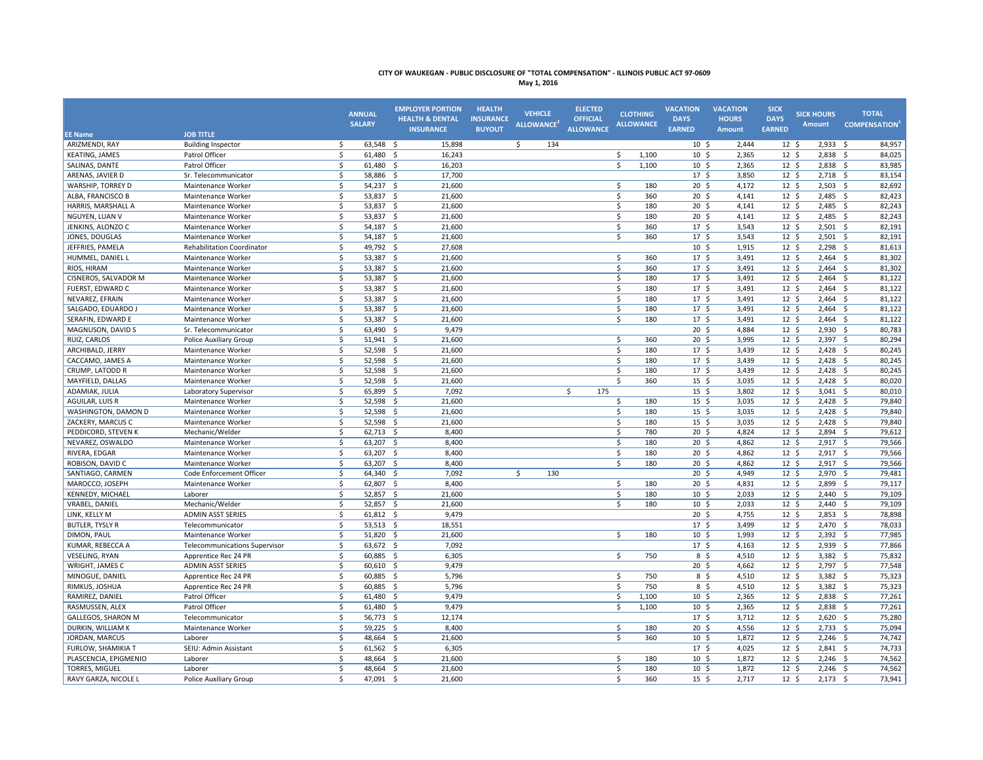| May 1, 20 |  |  |
|-----------|--|--|
|-----------|--|--|

| <b>EE Name</b>         | <b>JOB TITLE</b>                     | <b>ANNUAL</b><br><b>SALARY</b>     | <b>EMPLOYER PORTION</b><br><b>HEALTH &amp; DENTAL</b><br><b>INSURANCE</b> | <b>HEALTH</b><br><b>INSURANCE</b><br><b>BUYOUT</b> | <b>VEHICLE</b><br>ALLOWANCE <sup>2</sup> | <b>ELECTED</b><br><b>OFFICIAL</b><br><b>ALLOWANCE</b> | <b>CLOTHING</b><br><b>ALLOWANCE</b> | <b>VACATION</b><br><b>DAYS</b><br><b>EARNED</b> | <b>VACATION</b><br><b>HOURS</b><br><b>Amount</b> | <b>SICK</b><br><b>DAYS</b><br><b>EARNED</b> | <b>SICK HOURS</b><br>Amount | <b>TOTAL</b><br><b>COMPENSATION</b> |
|------------------------|--------------------------------------|------------------------------------|---------------------------------------------------------------------------|----------------------------------------------------|------------------------------------------|-------------------------------------------------------|-------------------------------------|-------------------------------------------------|--------------------------------------------------|---------------------------------------------|-----------------------------|-------------------------------------|
| ARIZMENDI, RAY         | <b>Building Inspector</b>            | \$<br>$63,548$ \$                  | 15,898                                                                    |                                                    | \$<br>134                                |                                                       |                                     | 10 <sup>5</sup>                                 | 2,444                                            | 12 <sup>5</sup>                             | 2,933                       | 84,957<br>- \$                      |
| <b>KEATING, JAMES</b>  | Patrol Officer                       | $\mathsf{\$}$<br>$61,480$ \$       | 16,243                                                                    |                                                    |                                          |                                                       | \$<br>1,100                         | 10 <sup>5</sup>                                 | 2,365                                            | 12 <sup>5</sup>                             | $2,838$ \$                  | 84,025                              |
| SALINAS, DANTE         | Patrol Officer                       | \$<br>$61,480$ \$                  | 16,203                                                                    |                                                    |                                          |                                                       | \$<br>1,100                         | $10 \; \text{S}$                                | 2,365                                            | 12 <sup>5</sup>                             | $2,838$ \$                  | 83,985                              |
| ARENAS, JAVIER D       | Sr. Telecommunicator                 | $\ddot{\mathsf{S}}$<br>58,886 \$   | 17,700                                                                    |                                                    |                                          |                                                       |                                     | $17 \frac{2}{7}$                                | 3,850                                            | 12 <sup>5</sup>                             | 2,718                       | 83,154<br>- \$                      |
| WARSHIP, TORREY D      | Maintenance Worker                   | \$<br>54,237 \$                    | 21,600                                                                    |                                                    |                                          |                                                       | \$<br>180                           | $20 \,$ \$                                      | 4,172                                            | 12 <sup>5</sup>                             | $2,503$ \$                  | 82,692                              |
| ALBA, FRANCISCO B      | Maintenance Worker                   | \$<br>53,837 \$                    | 21,600                                                                    |                                                    |                                          |                                                       | Ś<br>360                            | 20 <sup>5</sup>                                 | 4,141                                            | $12 \quad$                                  | $2,485$ \$                  | 82,423                              |
| HARRIS, MARSHALL A     | Maintenance Worker                   | $\zeta$<br>53,837 \$               | 21,600                                                                    |                                                    |                                          |                                                       | \$<br>180                           | $20 \,$ \$                                      | 4,141                                            | $12 \quad$                                  | 2,485                       | 82,243<br>$\mathsf{S}$              |
| NGUYEN, LUAN V         | Maintenance Worker                   | 53,837<br>$\ddot{\mathsf{S}}$      | $\mathsf{S}$<br>21,600                                                    |                                                    |                                          |                                                       | \$<br>180                           | $20 \,$ \$                                      | 4,141                                            | 12 <sup>5</sup>                             | 2,485                       | 82,243<br>$\mathsf{S}$              |
| JENKINS, ALONZO C      | Maintenance Worker                   | \$<br>54,187                       | 21,600<br>-\$                                                             |                                                    |                                          |                                                       | Ś<br>360                            | 17 <sup>5</sup>                                 | 3,543                                            | $12 \quad$                                  | 2,501                       | 82,191<br>- \$                      |
| JONES, DOUGLAS         | Maintenance Worker                   | Ŝ.<br>54,187 \$                    | 21,600                                                                    |                                                    |                                          |                                                       | \$<br>360                           | 17 <sup>5</sup>                                 | 3,543                                            | 12 <sup>5</sup>                             | $2,501$ \$                  | 82,191                              |
| JEFFRIES, PAMELA       | <b>Rehabilitation Coordinator</b>    | \$<br>49,792 \$                    | 27,608                                                                    |                                                    |                                          |                                                       |                                     | 10 <sub>5</sub>                                 | 1,915                                            | 12 <sup>5</sup>                             | 2,298                       | 81,613<br>- \$                      |
| HUMMEL, DANIEL L       | Maintenance Worker                   | \$<br>53,387 \$                    | 21,600                                                                    |                                                    |                                          |                                                       | \$<br>360                           | 17 <sup>5</sup>                                 | 3,491                                            | 12 <sup>5</sup>                             | $2,464$ \$                  | 81,302                              |
| RIOS, HIRAM            | Maintenance Worker                   | $\mathsf{\$}$<br>53,387 \$         | 21,600                                                                    |                                                    |                                          |                                                       | \$<br>360                           | 17 <sup>5</sup>                                 | 3,491                                            | 12 <sup>5</sup>                             | $2,464$ \$                  | 81,302                              |
| CISNEROS, SALVADOR M   | Maintenance Worker                   | \$<br>53,387                       | -\$<br>21,600                                                             |                                                    |                                          |                                                       | \$<br>180                           | $17 \frac{2}{7}$                                | 3,491                                            | 12 <sup>5</sup>                             | 2,464                       | 81,122<br>- \$                      |
| FUERST, EDWARD C       | Maintenance Worker                   | \$<br>$53,387$ \$                  | 21,600                                                                    |                                                    |                                          |                                                       | \$<br>180                           | $17 \frac{2}{7}$                                | 3,491                                            | $12 \; \text{S}$                            | $2,464$ \$                  | 81,122                              |
| NEVAREZ, EFRAIN        | Maintenance Worker                   | \$<br>$53,387$ \$                  | 21,600                                                                    |                                                    |                                          |                                                       | \$<br>180                           | 17 <sup>5</sup>                                 | 3,491                                            | $12 \; \text{S}$                            | $2,464$ \$                  | 81,122                              |
| SALGADO, EDUARDO J     | Maintenance Worker                   | $\zeta$<br>53,387                  | $\ddot{\mathsf{S}}$<br>21,600                                             |                                                    |                                          |                                                       | Ś<br>180                            | 17 <sup>5</sup>                                 | 3,491                                            | 12 <sup>5</sup>                             | 2,464                       | 81,122<br>- \$                      |
| SERAFIN, EDWARD E      | Maintenance Worker                   | $\zeta$<br>53,387 \$               | 21,600                                                                    |                                                    |                                          |                                                       | \$<br>180                           | 17 <sup>5</sup>                                 | 3,491                                            | 12 <sup>5</sup>                             | $2,464$ \$                  | 81,122                              |
| MAGNUSON, DAVID S      | Sr. Telecommunicator                 | \$<br>63,490                       | - \$<br>9,479                                                             |                                                    |                                          |                                                       |                                     | 20 <sup>5</sup>                                 | 4,884                                            | 12 <sup>5</sup>                             | $2,930$ \$                  | 80,783                              |
| RUIZ, CARLOS           | Police Auxiliary Group               | $\ddot{\mathsf{S}}$<br>51,941      | -\$<br>21,600                                                             |                                                    |                                          |                                                       | \$<br>360                           | 20 <sup>5</sup>                                 | 3,995                                            | 12 <sup>5</sup>                             | 2,397                       | $\mathsf{S}$<br>80,294              |
| ARCHIBALD, JERRY       | Maintenance Worker                   | $\zeta$<br>52,598 \$               | 21,600                                                                    |                                                    |                                          |                                                       | \$<br>180                           | 17 <sup>5</sup>                                 | 3,439                                            | 12 <sup>5</sup>                             | $2,428$ \$                  | 80,245                              |
| CACCAMO, JAMES A       | Maintenance Worker                   | \$<br>52,598                       | -\$<br>21,600                                                             |                                                    |                                          |                                                       | Ś<br>180                            | 17 <sup>5</sup>                                 | 3,439                                            | $12 \quad$                                  | 2,428                       | 80,245<br>- \$                      |
| CRUMP, LATODD R        | Maintenance Worker                   | $\mathsf{\$}$<br>52,598 \$         | 21,600                                                                    |                                                    |                                          |                                                       | Ŝ.<br>180                           | $17 \frac{2}{7}$                                | 3,439                                            | 12 <sup>5</sup>                             | $2,428$ \$                  | 80,245                              |
| MAYFIELD, DALLAS       | Maintenance Worker                   | $\zeta$<br>52,598 \$               | 21,600                                                                    |                                                    |                                          |                                                       | Ś.<br>360                           | $15 \; \S$                                      | 3,035                                            | 12 <sup>5</sup>                             | $2,428$ \$                  | 80,020                              |
| ADAMIAK, JULIA         | Laboratory Supervisor                | \$<br>65,899                       | -\$<br>7,092                                                              |                                                    |                                          | Ś<br>175                                              |                                     | 15 <sup>5</sup>                                 | 3,802                                            | $12 \quad$                                  | $3,041$ \$                  | 80,010                              |
| AGUILAR, LUIS R        | Maintenance Worker                   | \$<br>52,598 \$                    | 21,600                                                                    |                                                    |                                          |                                                       | \$<br>180                           | $15 \quad$                                      | 3.035                                            | 12 <sup>5</sup>                             | $2,428$ \$                  | 79,840                              |
| WASHINGTON, DAMON D    | Maintenance Worker                   | $\ddot{\mathsf{S}}$<br>52,598 \$   | 21,600                                                                    |                                                    |                                          |                                                       | \$<br>180                           | $15 \quad$                                      | 3,035                                            | 12 <sup>5</sup>                             | $2,428$ \$                  | 79,840                              |
| ZACKERY, MARCUS C      | Maintenance Worker                   | $\ddot{\mathsf{S}}$<br>$52,598$ \$ | 21,600                                                                    |                                                    |                                          |                                                       | \$<br>180                           | $15 \;$ \$                                      | 3,035                                            | $12 \; \text{S}$                            | $2,428$ \$                  | 79,840                              |
| PEDDICORD, STEVEN K    | Mechanic/Welder                      | \$<br>$62,713$ \$                  | 8,400                                                                     |                                                    |                                          |                                                       | \$<br>780                           | $20 \frac{2}{3}$                                | 4,824                                            | $12 \; \text{S}$                            | $2,894$ \$                  | 79,612                              |
| NEVAREZ, OSWALDO       | Maintenance Worker                   | 63,207<br>\$                       | -\$<br>8,400                                                              |                                                    |                                          |                                                       | \$<br>180                           | 20 <sup>5</sup>                                 | 4,862                                            | 12 <sup>5</sup>                             | 2,917                       | 79,566<br>- \$                      |
| RIVERA, EDGAR          | Maintenance Worker                   | $\ddot{\mathsf{S}}$<br>$63,207$ \$ | 8,400                                                                     |                                                    |                                          |                                                       | \$<br>180                           | $20 \frac{2}{3}$                                | 4,862                                            | 12 <sup>5</sup>                             | $2,917$ \$                  | 79,566                              |
| ROBISON, DAVID C       | Maintenance Worker                   | \$<br>$63,207$ \$                  | 8,400                                                                     |                                                    |                                          |                                                       | \$<br>180                           | $20 \frac{2}{3}$                                | 4,862                                            | 12 <sup>5</sup>                             | $2,917$ \$                  | 79,566                              |
| SANTIAGO, CARMEN       | Code Enforcement Officer             | $\zeta$<br>64,340                  | 7,092<br>-\$                                                              |                                                    | \$<br>130                                |                                                       |                                     | 20 <sup>5</sup>                                 | 4,949                                            | 12 <sup>5</sup>                             | 2,970                       | 79,481<br>- \$                      |
| MAROCCO, JOSEPH        | Maintenance Worker                   | 62,807<br>$\ddot{\mathsf{S}}$      | \$<br>8,400                                                               |                                                    |                                          |                                                       | \$<br>180                           | $20 \,$ \$                                      | 4,831                                            | 12 <sup>5</sup>                             | 2,899                       | 79,117<br>- \$                      |
| KENNEDY, MICHAEL       | Laborer                              | $\zeta$<br>52,857 \$               | 21,600                                                                    |                                                    |                                          |                                                       | \$<br>180                           | 10 <sup>5</sup>                                 | 2,033                                            | 12 <sup>5</sup>                             | $2,440$ \$                  | 79,109                              |
| VRABEL, DANIEL         | Mechanic/Welder                      | 52,857<br>Ŝ.                       | -\$<br>21,600                                                             |                                                    |                                          |                                                       | \$<br>180                           | 10 <sup>5</sup>                                 | 2,033                                            | 12 <sup>5</sup>                             | 2,440                       | $\mathsf{S}$<br>79,109              |
| LINK, KELLY M          | <b>ADMIN ASST SERIES</b>             | $\mathsf{\$}$<br>61,812 \$         | 9,479                                                                     |                                                    |                                          |                                                       |                                     | $20 \,$ \$                                      | 4,755                                            | 12 <sup>5</sup>                             | $2,853$ \$                  | 78,898                              |
| <b>BUTLER, TYSLY R</b> | Telecommunicator                     | \$<br>53,513 \$                    | 18,551                                                                    |                                                    |                                          |                                                       |                                     | 17 <sup>5</sup>                                 | 3,499                                            | 12 <sup>5</sup>                             | $2,470$ \$                  | 78,033                              |
| DIMON, PAUL            | Maintenance Worker                   | \$<br>$51,820$ \$                  | 21,600                                                                    |                                                    |                                          |                                                       | \$<br>180                           | 10 <sup>5</sup>                                 | 1,993                                            | 12 <sup>5</sup>                             | $2,392$ \$                  | 77,985                              |
| KUMAR, REBECCA A       | <b>Telecommunications Supervisor</b> | \$<br>63,672 \$                    | 7,092                                                                     |                                                    |                                          |                                                       |                                     | 17 <sup>5</sup>                                 | 4,163                                            | 12 <sup>5</sup>                             | $2,939$ \$                  | 77,866                              |
| <b>VESELING, RYAN</b>  | Apprentice Rec 24 PR                 | \$<br>60,885 \$                    | 6,305                                                                     |                                                    |                                          |                                                       | \$<br>750                           | 8 <sup>5</sup>                                  | 4,510                                            | 12 <sup>5</sup>                             | 3,382                       | 75,832<br>- \$                      |
| WRIGHT, JAMES C        | <b>ADMIN ASST SERIES</b>             | Ŝ.<br>60,610 \$                    | 9,479                                                                     |                                                    |                                          |                                                       |                                     | $20 \,$ \$                                      | 4,662                                            | 12 <sup>5</sup>                             | $2,797$ \$                  | 77,548                              |
| MINOGUE, DANIEL        | Apprentice Rec 24 PR                 | \$<br>60,885 \$                    | 5,796                                                                     |                                                    |                                          |                                                       | \$<br>750                           | $8\frac{2}{3}$                                  | 4,510                                            | $12 \; \text{S}$                            | $3,382$ \$                  | 75,323                              |
| RIMKUS, JOSHUA         | Apprentice Rec 24 PR                 | $\ddot{\mathsf{S}}$<br>60,885 \$   | 5,796                                                                     |                                                    |                                          |                                                       | \$<br>750                           | $8\frac{2}{3}$                                  | 4,510                                            | $12 \; \text{S}$                            | 3,382                       | 75,323<br>\$                        |
| RAMIREZ, DANIEL        | Patrol Officer                       | $\zeta$<br>61,480                  | $\ddot{\mathsf{S}}$<br>9,479                                              |                                                    |                                          |                                                       | \$<br>1,100                         | $10 \frac{2}{3}$                                | 2,365                                            | 12 <sup>5</sup>                             | $2,838$ \$                  | 77,261                              |
| RASMUSSEN, ALEX        | Patrol Officer                       | $\zeta$<br>61,480                  | 9,479<br>-\$                                                              |                                                    |                                          |                                                       | \$<br>1,100                         | 10 <sup>5</sup>                                 | 2,365                                            | 12 <sup>5</sup>                             | 2,838                       | 77,261<br>- \$                      |
| GALLEGOS, SHARON M     | Telecommunicator                     | $\ddot{\mathsf{S}}$<br>56,773 \$   | 12,174                                                                    |                                                    |                                          |                                                       |                                     | 17 <sup>5</sup>                                 | 3,712                                            | $12 \quad$                                  | 2,620                       | 75,280<br>- \$                      |
| DURKIN, WILLIAM K      | Maintenance Worker                   | \$<br>59,225 \$                    | 8,400                                                                     |                                                    |                                          |                                                       | \$<br>180                           | $20 \,$ \$                                      | 4,556                                            | 12 <sup>5</sup>                             | $2,733$ \$                  | 75,094                              |
| JORDAN, MARCUS         | Laborer                              | \$<br>48,664                       | 21,600<br>-\$                                                             |                                                    |                                          |                                                       | \$<br>360                           | 10 <sup>5</sup>                                 | 1,872                                            | 12 <sup>5</sup>                             | $2,246$ \$                  | 74,742                              |
| FURLOW, SHAMIKIA T     | SEIU: Admin Assistant                | $61,562$ \$<br>\$                  | 6,305                                                                     |                                                    |                                          |                                                       |                                     | 17 <sup>5</sup>                                 | 4,025                                            | 12 <sup>5</sup>                             | $2,841$ \$                  | 74,733                              |
| PLASCENCIA, EPIGMENIO  | Laborer                              | $\zeta$<br>48,664 \$               | 21,600                                                                    |                                                    |                                          |                                                       | \$<br>180                           | 10 <sup>5</sup>                                 | 1,872                                            | 12 <sup>5</sup>                             | $2,246$ \$                  | 74,562                              |
| <b>TORRES, MIGUEL</b>  | Laborer                              | \$<br>48,664                       | 21,600<br>- \$                                                            |                                                    |                                          |                                                       | Ś<br>180                            | 10 <sup>5</sup>                                 | 1,872                                            | $12 \quad$                                  | 2,246                       | 74,562<br>$\mathsf{S}$              |
| RAVY GARZA, NICOLE I   | <b>Police Auxiliary Group</b>        | $\mathsf{\hat{S}}$<br>47,091       | 21,600<br>- Ś                                                             |                                                    |                                          |                                                       | Ŝ.<br>360                           | $15 \quad$                                      | 2.717                                            | 12 <sup>5</sup>                             | 2,173                       | 73,941<br>- Ś                       |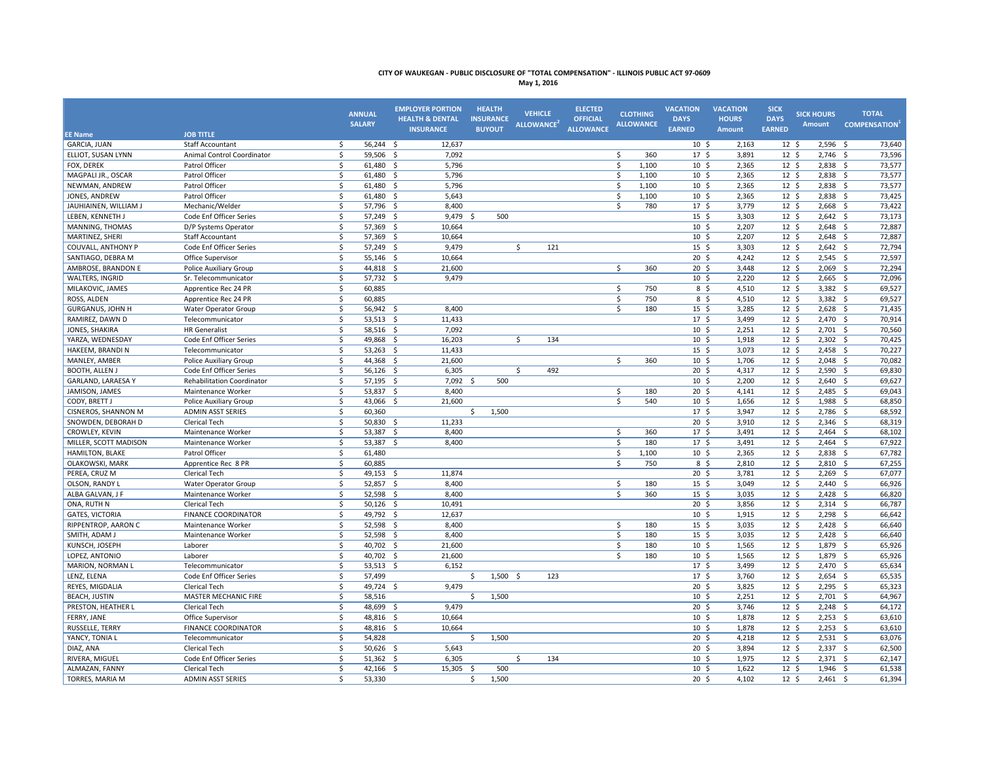**May 1, 2016**

|                                           |                                   | <b>ANNUAL</b><br><b>SALARY</b> | <b>EMPLOYER PORTION</b><br><b>HEALTH &amp; DENTAL</b><br><b>INSURANCE</b> | <b>HEALTH</b><br><b>INSURANCE</b><br><b>BUYOUT</b> | <b>VEHICLE</b><br>ALLOWANCE <sup>2</sup> | <b>ELECTED</b><br><b>OFFICIAL</b><br><b>ALLOWANCE</b> | <b>CLOTHING</b><br><b>ALLOWANCE</b> | <b>VACATION</b><br><b>DAYS</b><br><b>EARNED</b> | <b>VACATION</b><br><b>HOURS</b><br>Amount | <b>SICK</b><br><b>DAYS</b><br><b>EARNED</b> | <b>SICK HOURS</b><br><b>Amount</b> | <b>TOTAL</b><br><b>COMPENSATION</b> |
|-------------------------------------------|-----------------------------------|--------------------------------|---------------------------------------------------------------------------|----------------------------------------------------|------------------------------------------|-------------------------------------------------------|-------------------------------------|-------------------------------------------------|-------------------------------------------|---------------------------------------------|------------------------------------|-------------------------------------|
| <b>EE Name</b>                            | <b>JOB TITLE</b>                  |                                |                                                                           |                                                    |                                          |                                                       |                                     |                                                 |                                           |                                             |                                    |                                     |
| <b>GARCIA, JUAN</b><br>ELLIOT. SUSAN LYNN | <b>Staff Accountant</b>           | $56,244$ \$<br>Ŝ.              | 12,637                                                                    |                                                    |                                          |                                                       | 360                                 | 10 <sup>5</sup>                                 | 2,163                                     | $12 \cdot 5$                                | $2,596$ \$                         | 73,640                              |
|                                           | Animal Control Coordinator        | \$<br>59,506 \$                | 7,092                                                                     |                                                    |                                          |                                                       | \$                                  | 17 <sup>5</sup>                                 | 3,891                                     | $12 \cdot 5$                                | $2,746$ \$                         | 73,596                              |
| FOX, DEREK                                | Patrol Officer                    | \$<br>$61,480$ \$              | 5,796                                                                     |                                                    |                                          |                                                       | \$<br>1,100                         | 10 <sup>5</sup>                                 | 2,365                                     | 12 <sup>5</sup>                             | $2,838$ \$                         | 73,577                              |
| MAGPALI JR., OSCAR                        | Patrol Officer                    | \$<br>61,480 \$                | 5,796                                                                     |                                                    |                                          |                                                       | Ś.<br>1,100                         | 10 <sup>5</sup>                                 | 2,365                                     | 12 <sup>5</sup>                             | $2,838$ \$                         | 73,577                              |
| NEWMAN, ANDREW                            | Patrol Officer                    | \$<br>61,480 \$                | 5,796                                                                     |                                                    |                                          |                                                       | Ŝ.<br>1,100                         | 10 <sup>5</sup>                                 | 2,365                                     | 12 <sup>5</sup>                             | 2,838                              | 73,577<br>- \$                      |
| JONES, ANDREW                             | Patrol Officer                    | -\$<br>61,480                  | - \$<br>5,643                                                             |                                                    |                                          |                                                       | Ŝ.<br>1.100                         | 10 <sup>5</sup>                                 | 2,365                                     | 12 <sup>5</sup>                             | $2,838$ \$                         | 73,425                              |
| JAUHIAINEN, WILLIAM J                     | Mechanic/Welder                   | \$<br>57,796 \$                | 8,400                                                                     |                                                    |                                          |                                                       | \$<br>780                           | 17 <sup>5</sup>                                 | 3,779                                     | 12 <sup>5</sup>                             | $2,668$ \$                         | 73,422                              |
| LEBEN, KENNETH J                          | Code Enf Officer Series           | Ŝ.<br>57,249                   | - \$<br>9,479                                                             | 500<br>-S                                          |                                          |                                                       |                                     | 15 <sup>5</sup>                                 | 3,303                                     | 12 <sup>5</sup>                             | 2,642                              | 73,173<br>- \$                      |
| MANNING, THOMAS                           | D/P Systems Operator              | 57,369 \$<br>Ŝ.                | 10,664                                                                    |                                                    |                                          |                                                       |                                     | $10 \div$                                       | 2,207                                     | 12 <sup>5</sup>                             | $2,648$ \$                         | 72,887                              |
| MARTINEZ, SHERI                           | <b>Staff Accountant</b>           | \$<br>57,369                   | - \$<br>10,664                                                            |                                                    |                                          |                                                       |                                     | 10 <sup>5</sup>                                 | 2,207                                     | 12 <sup>5</sup>                             | $2,648$ \$                         | 72,887                              |
| <b>COUVALL, ANTHONY P</b>                 | Code Enf Officer Series           | \$<br>57,249                   | 9,479<br>- \$                                                             |                                                    | Ŝ.<br>121                                |                                                       |                                     | 15 <sup>5</sup>                                 | 3,303                                     | 12 <sup>5</sup>                             | 2,642                              | 72,794<br>- \$                      |
| SANTIAGO, DEBRA M                         | Office Supervisor                 | \$<br>55,146 \$                | 10,664                                                                    |                                                    |                                          |                                                       |                                     | $20 \,$ \$                                      | 4,242                                     | 12 <sup>5</sup>                             | $2,545$ \$                         | 72,597                              |
| AMBROSE, BRANDON E                        | Police Auxiliary Group            | \$<br>44,818 \$                | 21,600                                                                    |                                                    |                                          |                                                       | Ś.<br>360                           | $20 \frac{2}{3}$                                | 3.448                                     | 12 <sup>5</sup>                             | $2,069$ \$                         | 72,294                              |
| WALTERS, INGRID                           | Sr. Telecommunicator              | \$<br>57,732 \$                | 9,479                                                                     |                                                    |                                          |                                                       |                                     | $10 \frac{2}{3}$                                | 2,220                                     | $12 \; \text{S}$                            | $2,665$ \$                         | 72,096                              |
| MILAKOVIC, JAMES                          | Apprentice Rec 24 PR              | \$<br>60,885                   |                                                                           |                                                    |                                          |                                                       | $\mathsf{\hat{S}}$<br>750           | $8\sqrt{5}$                                     | 4,510                                     | $12 \; \text{S}$                            | $3,382$ \$                         | 69,527                              |
| ROSS, ALDEN                               | Apprentice Rec 24 PR              | \$<br>60,885                   |                                                                           |                                                    |                                          |                                                       | \$<br>750                           | $8\frac{2}{3}$                                  | 4,510                                     | $12 \; \text{S}$                            | $3,382$ \$                         | 69,527                              |
| <b>GURGANUS, JOHN H</b>                   | Water Operator Group              | \$<br>56,942 \$                | 8,400                                                                     |                                                    |                                          |                                                       | \$<br>180                           | $15 \; \S$                                      | 3,285                                     | 12 <sup>5</sup>                             | $2,628$ \$                         | 71,435                              |
| RAMIREZ, DAWN D                           | Telecommunicator                  | \$<br>$53,513$ \$              | 11,433                                                                    |                                                    |                                          |                                                       |                                     | $17 \frac{2}{7}$                                | 3,499                                     | $12 \; \text{S}$                            | $2,470$ \$                         | 70,914                              |
| JONES, SHAKIRA                            | <b>HR</b> Generalist              | \$<br>58,516 \$                | 7,092                                                                     |                                                    |                                          |                                                       |                                     | $10 \frac{2}{3}$                                | 2,251                                     | $12 \; \text{S}$                            | $2,701$ \$                         | 70,560                              |
| YARZA, WEDNESDAY                          | Code Enf Officer Series           | \$<br>49,868                   | - \$<br>16,203                                                            |                                                    | \$<br>134                                |                                                       |                                     | $10 \; \text{S}$                                | 1,918                                     | $12 \quad$                                  | $2,302$ \$                         | 70,425                              |
| HAKEEM, BRANDI N                          | Telecommunicator                  | \$<br>53,263                   | - \$<br>11,433                                                            |                                                    |                                          |                                                       |                                     | $15 \; \S$                                      | 3,073                                     | 12 <sup>5</sup>                             | 2,458                              | 70,227<br>- \$                      |
| MANLEY, AMBER                             | <b>Police Auxiliary Group</b>     | \$<br>44,368 \$                | 21,600                                                                    |                                                    |                                          |                                                       | \$<br>360                           | $10 \frac{2}{3}$                                | 1,706                                     | $12 \; \text{S}$                            | $2,048$ \$                         | 70,082                              |
| <b>BOOTH, ALLEN J</b>                     | Code Enf Officer Series           | \$<br>$56,126$ \$              | 6,305                                                                     |                                                    | \$<br>492                                |                                                       |                                     | $20 \frac{2}{3}$                                | 4,317                                     | 12 <sup>5</sup>                             | $2,590$ \$                         | 69,830                              |
| GARLAND, LARAESA Y                        | <b>Rehabilitation Coordinator</b> | \$<br>57,195                   | 7,092<br>- \$                                                             | 500<br>-Ś                                          |                                          |                                                       |                                     | 10 <sup>5</sup>                                 | 2,200                                     | $12 \; \text{S}$                            | 2,640                              | 69,627<br>\$                        |
| JAMISON, JAMES                            | Maintenance Worker                | $\zeta$<br>53,837 \$           | 8,400                                                                     |                                                    |                                          |                                                       | \$<br>180                           | $20 \frac{2}{3}$                                | 4,141                                     | $12 \; \text{S}$                            | 2,485                              | 69,043<br>$\sim$                    |
| CODY, BRETT J                             | Police Auxiliary Group            | \$<br>43,066 \$                | 21,600                                                                    |                                                    |                                          |                                                       | \$<br>540                           | 10 <sup>5</sup>                                 | 1,656                                     | 12 <sup>5</sup>                             | 1,988 \$                           | 68,850                              |
| CISNEROS, SHANNON M                       | <b>ADMIN ASST SERIES</b>          | \$<br>60,360                   |                                                                           | 1,500<br>\$                                        |                                          |                                                       |                                     | 17 <sup>5</sup>                                 | 3,947                                     | 12 <sup>5</sup>                             | 2,786                              | 68,592<br>- \$                      |
| SNOWDEN, DEBORAH D                        | Clerical Tech                     | \$<br>$50,830$ \$              | 11,233                                                                    |                                                    |                                          |                                                       |                                     | $20 \div$                                       | 3,910                                     | 12 <sup>5</sup>                             | $2,346$ \$                         | 68,319                              |
| CROWLEY, KEVIN                            | Maintenance Worker                | \$<br>53,387                   | \$<br>8,400                                                               |                                                    |                                          |                                                       | \$<br>360                           | $17 \frac{2}{7}$                                | 3,491                                     | $12 \; \text{S}$                            | $2,464$ \$                         | 68,102                              |
| MILLER, SCOTT MADISON                     | Maintenance Worker                | \$<br>53,387                   | \$<br>8,400                                                               |                                                    |                                          |                                                       | \$<br>180                           | 17 <sup>5</sup>                                 | 3,491                                     | 12 <sup>5</sup>                             | 2,464                              | 67,922<br>\$                        |
| HAMILTON, BLAKE                           | Patrol Officer                    | \$<br>61,480                   |                                                                           |                                                    |                                          |                                                       | \$<br>1,100                         | 10 <sup>5</sup>                                 | 2,365                                     | $12 \; \text{S}$                            | 2,838                              | 67,782<br>- \$                      |
| OLAKOWSKI, MARK                           | Apprentice Rec 8 PR               | \$<br>60,885                   |                                                                           |                                                    |                                          |                                                       | \$<br>750                           | $8\sqrt{5}$                                     | 2,810                                     | 12 <sup>5</sup>                             | $2,810$ \$                         | 67,255                              |
| PEREA, CRUZ M                             | Clerical Tech                     | \$<br>49,153                   | 11,874<br>-\$                                                             |                                                    |                                          |                                                       |                                     | 20 <sup>5</sup>                                 | 3,781                                     | 12 <sup>5</sup>                             | 2,269                              | 67,077<br>-\$                       |
| OLSON, RANDY L                            | Water Operator Group              | $\zeta$<br>52,857              | 8,400<br>- \$                                                             |                                                    |                                          |                                                       | \$<br>180                           | $15 \quad$                                      | 3,049                                     | 12 <sup>5</sup>                             | $2,440$ \$                         | 66,926                              |
| ALBA GALVAN, J F                          | Maintenance Worker                | \$<br>52,598                   | -\$<br>8,400                                                              |                                                    |                                          |                                                       | \$<br>360                           | 15 <sup>5</sup>                                 | 3,035                                     | $12 \quad$                                  | $2,428$ \$                         | 66,820                              |
| ONA, RUTH N                               | Clerical Tech                     | \$<br>$50,126$ \$              | 10,491                                                                    |                                                    |                                          |                                                       |                                     | $20 \,$ \$                                      | 3,856                                     | 12 <sup>5</sup>                             | $2,314$ \$                         | 66,787                              |
| <b>GATES, VICTORIA</b>                    | <b>FINANCE COORDINATOR</b>        | $\mathsf{\$}$<br>49,792 \$     | 12,637                                                                    |                                                    |                                          |                                                       |                                     | 10 <sup>5</sup>                                 | 1,915                                     | 12 <sup>5</sup>                             | $2,298$ \$                         | 66,642                              |
| RIPPENTROP, AARON C                       | Maintenance Worker                | \$<br>52,598                   | -\$<br>8,400                                                              |                                                    |                                          |                                                       | \$<br>180                           | 15 <sup>5</sup>                                 | 3,035                                     | $12 \quad$                                  | $2,428$ \$                         | 66,640                              |
| SMITH, ADAM J                             | Maintenance Worker                | 52,598 \$<br>\$                | 8,400                                                                     |                                                    |                                          |                                                       | 180<br>\$                           | 15 <sup>5</sup>                                 | 3,035                                     | 12 <sup>5</sup>                             | $2,428$ \$                         | 66,640                              |
| KUNSCH, JOSEPH                            | Laborer                           | $\zeta$<br>40,702 \$           | 21,600                                                                    |                                                    |                                          |                                                       | \$<br>180                           | 10 <sup>5</sup>                                 | 1,565                                     | $12 \; \text{S}$                            | 1,879 \$                           | 65,926                              |
| LOPEZ, ANTONIO                            | Laborer                           | \$<br>40,702 \$                | 21,600                                                                    |                                                    |                                          |                                                       | Ś.<br>180                           | 10 <sup>5</sup>                                 | 1,565                                     | 12 <sup>5</sup>                             | 1,879                              | 65,926<br>$\sim$                    |
| MARION, NORMAN L                          | Telecommunicator                  | \$<br>$53,513$ \$              | 6,152                                                                     |                                                    |                                          |                                                       |                                     | 17 <sup>5</sup>                                 | 3,499                                     | $12 \quad$                                  | $2,470$ \$                         | 65,634                              |
| LENZ. ELENA                               | Code Enf Officer Series           | \$<br>57,499                   |                                                                           | $1,500$ \$<br>\$                                   | 123                                      |                                                       |                                     | 17 <sup>5</sup>                                 | 3,760                                     | 12 <sup>5</sup>                             | $2,654$ \$                         | 65,535                              |
| REYES, MIGDALIA                           | Clerical Tech                     | \$<br>49,724 \$                | 9,479                                                                     |                                                    |                                          |                                                       |                                     | $20 \frac{2}{3}$                                | 3,825                                     | 12 <sup>5</sup>                             | $2,295$ \$                         | 65,323                              |
| <b>BEACH, JUSTIN</b>                      | MASTER MECHANIC FIRE              | \$<br>58,516                   |                                                                           | 1,500<br>Ś.                                        |                                          |                                                       |                                     | 10 <sup>5</sup>                                 | 2,251                                     | 12 <sup>5</sup>                             | $2,701$ \$                         | 64,967                              |
| PRESTON, HEATHER L                        | Clerical Tech                     | \$<br>48,699                   | 9,479<br>- \$                                                             |                                                    |                                          |                                                       |                                     | $20 \,$ \$                                      | 3,746                                     | $12 \quad$                                  | 2,248                              | 64,172<br>\$                        |
| FERRY, JANE                               | Office Supervisor                 | 48,816 \$<br>\$                | 10,664                                                                    |                                                    |                                          |                                                       |                                     | 10 <sup>5</sup>                                 | 1,878                                     | 12 <sup>5</sup>                             | $2,253$ \$                         | 63,610                              |
| RUSSELLE, TERRY                           | <b>FINANCE COORDINATOR</b>        | \$<br>48,816 \$                | 10,664                                                                    |                                                    |                                          |                                                       |                                     | 10 <sup>5</sup>                                 | 1,878                                     | 12 <sup>5</sup>                             | $2,253$ \$                         | 63,610                              |
| YANCY, TONIA L                            | Telecommunicator                  | \$<br>54,828                   |                                                                           | 1,500<br>Ś.                                        |                                          |                                                       |                                     | $20 \,$ \$                                      | 4,218                                     | $12 \quad$                                  | 2,531                              | 63,076<br>- \$                      |
| DIAZ, ANA                                 | Clerical Tech                     | \$<br>50,626 \$                | 5,643                                                                     |                                                    |                                          |                                                       |                                     | $20 \,$ \$                                      | 3,894                                     | 12 <sup>5</sup>                             | $2,337$ \$                         | 62,500                              |
| RIVERA, MIGUEL                            | Code Enf Officer Series           | \$<br>51,362 \$                | 6,305                                                                     |                                                    | Ŝ.<br>134                                |                                                       |                                     | 10 <sup>5</sup>                                 | 1,975                                     | 12 <sup>5</sup>                             | $2,371$ \$                         | 62,147                              |
| ALMAZAN, FANNY                            | Clerical Tech                     | \$<br>42,166 \$                | 15,305                                                                    | 500<br>-\$                                         |                                          |                                                       |                                     | 10 <sup>5</sup>                                 | 1,622                                     | 12 <sup>5</sup>                             | 1,946                              | 61,538<br>- \$                      |
| TORRES, MARIA M                           | <b>ADMIN ASST SERIES</b>          | \$<br>53,330                   |                                                                           | 1,500<br>\$                                        |                                          |                                                       |                                     | 20 <sub>5</sub>                                 | 4.102                                     | $12 \div$                                   | 2,461                              | 61,394<br>- Ś                       |
|                                           |                                   |                                |                                                                           |                                                    |                                          |                                                       |                                     |                                                 |                                           |                                             |                                    |                                     |